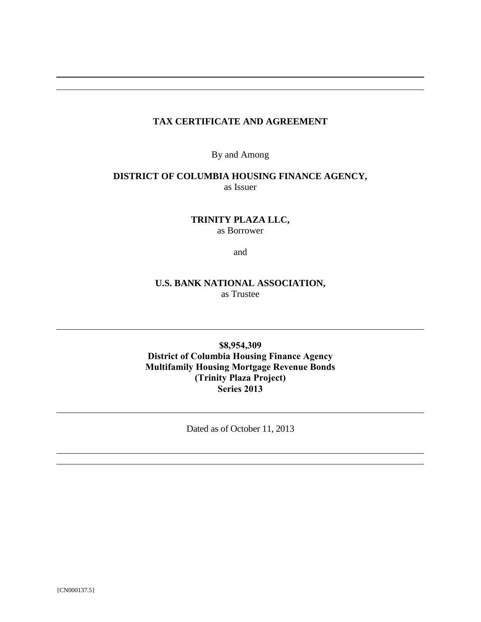# **TAX CERTIFICATE AND AGREEMENT**

By and Among

### **DISTRICT OF COLUMBIA HOUSING FINANCE AGENCY,** as Issuer

**TRINITY PLAZA LLC,** as Borrower

and

# **U.S. BANK NATIONAL ASSOCIATION,** as Trustee

**\$8,954,309 District of Columbia Housing Finance Agency Multifamily Housing Mortgage Revenue Bonds (Trinity Plaza Project) Series 2013**

Dated as of October 11, 2013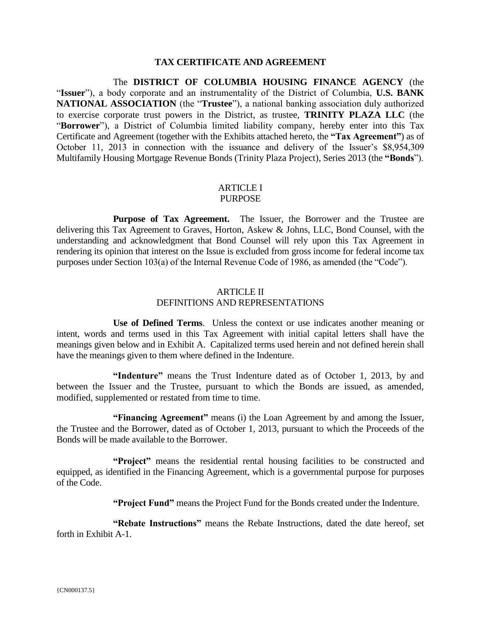### **TAX CERTIFICATE AND AGREEMENT**

The **DISTRICT OF COLUMBIA HOUSING FINANCE AGENCY** (the "**Issuer**"), a body corporate and an instrumentality of the District of Columbia, **U.S. BANK NATIONAL ASSOCIATION** (the "**Trustee**"), a national banking association duly authorized to exercise corporate trust powers in the District, as trustee, **TRINITY PLAZA LLC** (the "**Borrower**"), a District of Columbia limited liability company, hereby enter into this Tax Certificate and Agreement (together with the Exhibits attached hereto, the **"Tax Agreement"**) as of October 11, 2013 in connection with the issuance and delivery of the Issuer's \$8,954,309 Multifamily Housing Mortgage Revenue Bonds (Trinity Plaza Project), Series 2013 (the **"Bonds**").

#### ARTICLE I PURPOSE

**Purpose of Tax Agreement.** The Issuer, the Borrower and the Trustee are delivering this Tax Agreement to Graves, Horton, Askew & Johns, LLC, Bond Counsel, with the understanding and acknowledgment that Bond Counsel will rely upon this Tax Agreement in rendering its opinion that interest on the Issue is excluded from gross income for federal income tax purposes under Section 103(a) of the Internal Revenue Code of 1986, as amended (the "Code").

### ARTICLE II DEFINITIONS AND REPRESENTATIONS

**Use of Defined Terms**. Unless the context or use indicates another meaning or intent, words and terms used in this Tax Agreement with initial capital letters shall have the meanings given below and in Exhibit A. Capitalized terms used herein and not defined herein shall have the meanings given to them where defined in the Indenture.

**"Indenture"** means the Trust Indenture dated as of October 1, 2013, by and between the Issuer and the Trustee, pursuant to which the Bonds are issued, as amended, modified, supplemented or restated from time to time.

**"Financing Agreement"** means (i) the Loan Agreement by and among the Issuer, the Trustee and the Borrower, dated as of October 1, 2013, pursuant to which the Proceeds of the Bonds will be made available to the Borrower.

**"Project"** means the residential rental housing facilities to be constructed and equipped, as identified in the Financing Agreement, which is a governmental purpose for purposes of the Code.

**"Project Fund"** means the Project Fund for the Bonds created under the Indenture.

**"Rebate Instructions"** means the Rebate Instructions, dated the date hereof, set forth in Exhibit A-1.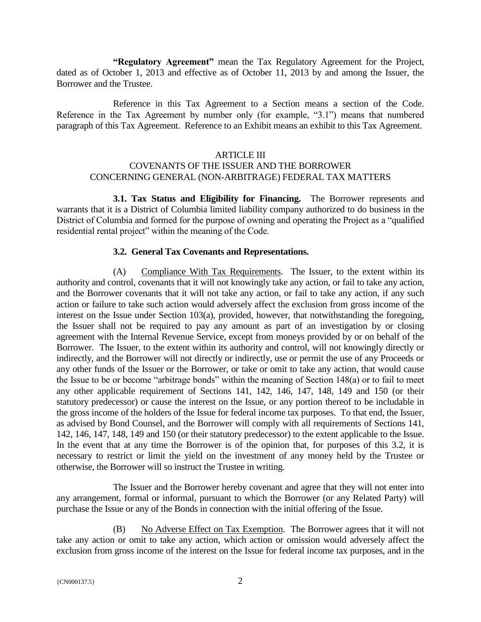**"Regulatory Agreement"** mean the Tax Regulatory Agreement for the Project, dated as of October 1, 2013 and effective as of October 11, 2013 by and among the Issuer, the Borrower and the Trustee.

Reference in this Tax Agreement to a Section means a section of the Code. Reference in the Tax Agreement by number only (for example, "3.1") means that numbered paragraph of this Tax Agreement. Reference to an Exhibit means an exhibit to this Tax Agreement.

### ARTICLE III

# COVENANTS OF THE ISSUER AND THE BORROWER CONCERNING GENERAL (NON-ARBITRAGE) FEDERAL TAX MATTERS

**3.1. Tax Status and Eligibility for Financing.** The Borrower represents and warrants that it is a District of Columbia limited liability company authorized to do business in the District of Columbia and formed for the purpose of owning and operating the Project as a "qualified residential rental project" within the meaning of the Code.

### **3.2. General Tax Covenants and Representations.**

(A) Compliance With Tax Requirements. The Issuer, to the extent within its authority and control, covenants that it will not knowingly take any action, or fail to take any action, and the Borrower covenants that it will not take any action, or fail to take any action, if any such action or failure to take such action would adversely affect the exclusion from gross income of the interest on the Issue under Section 103(a), provided, however, that notwithstanding the foregoing, the Issuer shall not be required to pay any amount as part of an investigation by or closing agreement with the Internal Revenue Service, except from moneys provided by or on behalf of the Borrower. The Issuer, to the extent within its authority and control, will not knowingly directly or indirectly, and the Borrower will not directly or indirectly, use or permit the use of any Proceeds or any other funds of the Issuer or the Borrower, or take or omit to take any action, that would cause the Issue to be or become "arbitrage bonds" within the meaning of Section 148(a) or to fail to meet any other applicable requirement of Sections 141, 142, 146, 147, 148, 149 and 150 (or their statutory predecessor) or cause the interest on the Issue, or any portion thereof to be includable in the gross income of the holders of the Issue for federal income tax purposes. To that end, the Issuer, as advised by Bond Counsel, and the Borrower will comply with all requirements of Sections 141, 142, 146, 147, 148, 149 and 150 (or their statutory predecessor) to the extent applicable to the Issue. In the event that at any time the Borrower is of the opinion that, for purposes of this 3.2, it is necessary to restrict or limit the yield on the investment of any money held by the Trustee or otherwise, the Borrower will so instruct the Trustee in writing.

The Issuer and the Borrower hereby covenant and agree that they will not enter into any arrangement, formal or informal, pursuant to which the Borrower (or any Related Party) will purchase the Issue or any of the Bonds in connection with the initial offering of the Issue.

(B) No Adverse Effect on Tax Exemption. The Borrower agrees that it will not take any action or omit to take any action, which action or omission would adversely affect the exclusion from gross income of the interest on the Issue for federal income tax purposes, and in the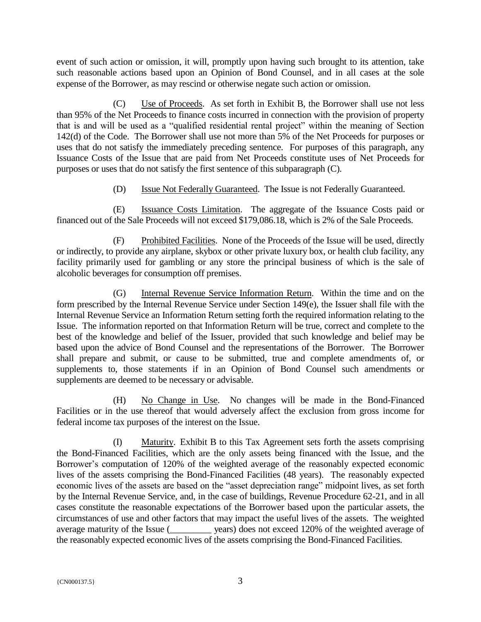event of such action or omission, it will, promptly upon having such brought to its attention, take such reasonable actions based upon an Opinion of Bond Counsel, and in all cases at the sole expense of the Borrower, as may rescind or otherwise negate such action or omission.

(C) Use of Proceeds. As set forth in Exhibit B, the Borrower shall use not less than 95% of the Net Proceeds to finance costs incurred in connection with the provision of property that is and will be used as a "qualified residential rental project" within the meaning of Section 142(d) of the Code. The Borrower shall use not more than 5% of the Net Proceeds for purposes or uses that do not satisfy the immediately preceding sentence. For purposes of this paragraph, any Issuance Costs of the Issue that are paid from Net Proceeds constitute uses of Net Proceeds for purposes or uses that do not satisfy the first sentence of this subparagraph (C).

(D) Issue Not Federally Guaranteed.The Issue is not Federally Guaranteed.

(E) Issuance Costs Limitation.The aggregate of the Issuance Costs paid or financed out of the Sale Proceeds will not exceed \$179,086.18, which is 2% of the Sale Proceeds.

(F) Prohibited Facilities. None of the Proceeds of the Issue will be used, directly or indirectly, to provide any airplane, skybox or other private luxury box, or health club facility, any facility primarily used for gambling or any store the principal business of which is the sale of alcoholic beverages for consumption off premises.

(G) Internal Revenue Service Information Return. Within the time and on the form prescribed by the Internal Revenue Service under Section 149(e), the Issuer shall file with the Internal Revenue Service an Information Return setting forth the required information relating to the Issue. The information reported on that Information Return will be true, correct and complete to the best of the knowledge and belief of the Issuer, provided that such knowledge and belief may be based upon the advice of Bond Counsel and the representations of the Borrower. The Borrower shall prepare and submit, or cause to be submitted, true and complete amendments of, or supplements to, those statements if in an Opinion of Bond Counsel such amendments or supplements are deemed to be necessary or advisable.

(H) No Change in Use. No changes will be made in the Bond-Financed Facilities or in the use thereof that would adversely affect the exclusion from gross income for federal income tax purposes of the interest on the Issue.

(I) Maturity.Exhibit B to this Tax Agreement sets forth the assets comprising the Bond-Financed Facilities, which are the only assets being financed with the Issue, and the Borrower's computation of 120% of the weighted average of the reasonably expected economic lives of the assets comprising the Bond-Financed Facilities (48 years). The reasonably expected economic lives of the assets are based on the "asset depreciation range" midpoint lives, as set forth by the Internal Revenue Service, and, in the case of buildings, Revenue Procedure 62-21, and in all cases constitute the reasonable expectations of the Borrower based upon the particular assets, the circumstances of use and other factors that may impact the useful lives of the assets. The weighted average maturity of the Issue (\_\_\_\_\_\_\_\_\_ years) does not exceed 120% of the weighted average of the reasonably expected economic lives of the assets comprising the Bond-Financed Facilities.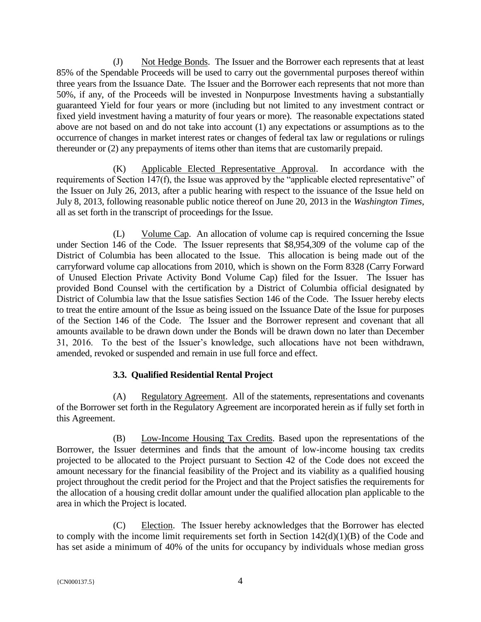(J) Not Hedge Bonds. The Issuer and the Borrower each represents that at least 85% of the Spendable Proceeds will be used to carry out the governmental purposes thereof within three years from the Issuance Date. The Issuer and the Borrower each represents that not more than 50%, if any, of the Proceeds will be invested in Nonpurpose Investments having a substantially guaranteed Yield for four years or more (including but not limited to any investment contract or fixed yield investment having a maturity of four years or more). The reasonable expectations stated above are not based on and do not take into account (1) any expectations or assumptions as to the occurrence of changes in market interest rates or changes of federal tax law or regulations or rulings thereunder or (2) any prepayments of items other than items that are customarily prepaid.

(K) Applicable Elected Representative Approval. In accordance with the requirements of Section 147(f), the Issue was approved by the "applicable elected representative" of the Issuer on July 26, 2013, after a public hearing with respect to the issuance of the Issue held on July 8, 2013, following reasonable public notice thereof on June 20, 2013 in the *Washington Times*, all as set forth in the transcript of proceedings for the Issue.

(L) Volume Cap. An allocation of volume cap is required concerning the Issue under Section 146 of the Code. The Issuer represents that \$8,954,309 of the volume cap of the District of Columbia has been allocated to the Issue. This allocation is being made out of the carryforward volume cap allocations from 2010, which is shown on the Form 8328 (Carry Forward of Unused Election Private Activity Bond Volume Cap) filed for the Issuer. The Issuer has provided Bond Counsel with the certification by a District of Columbia official designated by District of Columbia law that the Issue satisfies Section 146 of the Code. The Issuer hereby elects to treat the entire amount of the Issue as being issued on the Issuance Date of the Issue for purposes of the Section 146 of the Code. The Issuer and the Borrower represent and covenant that all amounts available to be drawn down under the Bonds will be drawn down no later than December 31, 2016. To the best of the Issuer's knowledge, such allocations have not been withdrawn, amended, revoked or suspended and remain in use full force and effect.

# **3.3. Qualified Residential Rental Project**

(A) Regulatory Agreement. All of the statements, representations and covenants of the Borrower set forth in the Regulatory Agreement are incorporated herein as if fully set forth in this Agreement.

(B) Low-Income Housing Tax Credits. Based upon the representations of the Borrower, the Issuer determines and finds that the amount of low-income housing tax credits projected to be allocated to the Project pursuant to Section 42 of the Code does not exceed the amount necessary for the financial feasibility of the Project and its viability as a qualified housing project throughout the credit period for the Project and that the Project satisfies the requirements for the allocation of a housing credit dollar amount under the qualified allocation plan applicable to the area in which the Project is located.

(C) Election. The Issuer hereby acknowledges that the Borrower has elected to comply with the income limit requirements set forth in Section  $142(d)(1)(B)$  of the Code and has set aside a minimum of 40% of the units for occupancy by individuals whose median gross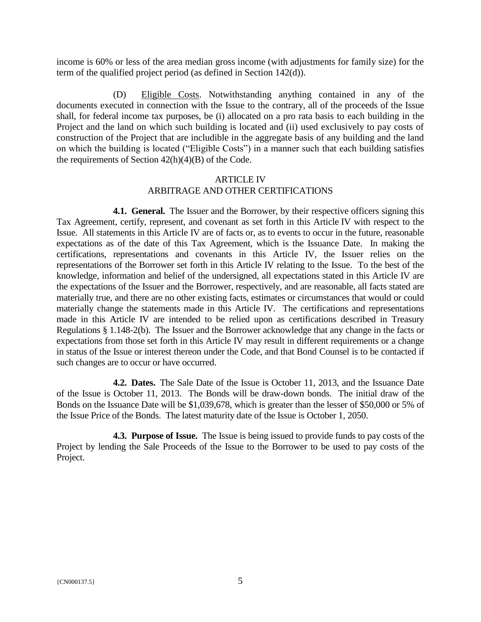income is 60% or less of the area median gross income (with adjustments for family size) for the term of the qualified project period (as defined in Section 142(d)).

(D) Eligible Costs. Notwithstanding anything contained in any of the documents executed in connection with the Issue to the contrary, all of the proceeds of the Issue shall, for federal income tax purposes, be (i) allocated on a pro rata basis to each building in the Project and the land on which such building is located and (ii) used exclusively to pay costs of construction of the Project that are includible in the aggregate basis of any building and the land on which the building is located ("Eligible Costs") in a manner such that each building satisfies the requirements of Section  $42(h)(4)(B)$  of the Code.

### ARTICLE IV ARBITRAGE AND OTHER CERTIFICATIONS

**4.1. General.** The Issuer and the Borrower, by their respective officers signing this Tax Agreement, certify, represent, and covenant as set forth in this Article IV with respect to the Issue. All statements in this Article IV are of facts or, as to events to occur in the future, reasonable expectations as of the date of this Tax Agreement, which is the Issuance Date. In making the certifications, representations and covenants in this Article IV, the Issuer relies on the representations of the Borrower set forth in this Article IV relating to the Issue. To the best of the knowledge, information and belief of the undersigned, all expectations stated in this Article IV are the expectations of the Issuer and the Borrower, respectively, and are reasonable, all facts stated are materially true, and there are no other existing facts, estimates or circumstances that would or could materially change the statements made in this Article IV. The certifications and representations made in this Article IV are intended to be relied upon as certifications described in Treasury Regulations § 1.148-2(b). The Issuer and the Borrower acknowledge that any change in the facts or expectations from those set forth in this Article IV may result in different requirements or a change in status of the Issue or interest thereon under the Code, and that Bond Counsel is to be contacted if such changes are to occur or have occurred.

**4.2. Dates.** The Sale Date of the Issue is October 11, 2013, and the Issuance Date of the Issue is October 11, 2013. The Bonds will be draw-down bonds. The initial draw of the Bonds on the Issuance Date will be \$1,039,678, which is greater than the lesser of \$50,000 or 5% of the Issue Price of the Bonds. The latest maturity date of the Issue is October 1, 2050.

**4.3. Purpose of Issue.** The Issue is being issued to provide funds to pay costs of the Project by lending the Sale Proceeds of the Issue to the Borrower to be used to pay costs of the Project.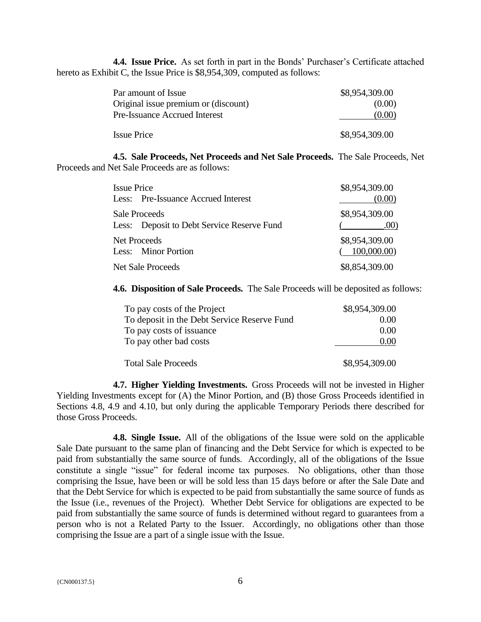**4.4. Issue Price.** As set forth in part in the Bonds' Purchaser's Certificate attached hereto as Exhibit C, the Issue Price is \$8,954,309, computed as follows:

| Par amount of Issue                  | \$8,954,309.00 |
|--------------------------------------|----------------|
| Original issue premium or (discount) | (0.00)         |
| <b>Pre-Issuance Accrued Interest</b> | (0.00)         |
| <b>Issue Price</b>                   | \$8,954,309.00 |

**4.5. Sale Proceeds, Net Proceeds and Net Sale Proceeds.** The Sale Proceeds, Net Proceeds and Net Sale Proceeds are as follows:

| <b>Issue Price</b>                                                 | \$8,954,309.00               |  |  |
|--------------------------------------------------------------------|------------------------------|--|--|
| Less: Pre-Issuance Accrued Interest                                | (0.00)                       |  |  |
| <b>Sale Proceeds</b><br>Less: Deposit to Debt Service Reserve Fund | \$8,954,309.00<br>.00)       |  |  |
| <b>Net Proceeds</b><br>Less: Minor Portion                         | \$8,954,309.00<br>100,000.00 |  |  |
| <b>Net Sale Proceeds</b>                                           | \$8,854,309.00               |  |  |

**4.6. Disposition of Sale Proceeds.** The Sale Proceeds will be deposited as follows:

| To pay costs of the Project                 | \$8,954,309.00 |
|---------------------------------------------|----------------|
| To deposit in the Debt Service Reserve Fund | 0.00           |
| To pay costs of issuance                    | 0.00           |
| To pay other bad costs                      | 0.00           |
| <b>Total Sale Proceeds</b>                  | \$8,954,309.00 |

**4.7. Higher Yielding Investments.** Gross Proceeds will not be invested in Higher Yielding Investments except for (A) the Minor Portion, and (B) those Gross Proceeds identified in Sections 4.8, 4.9 and 4.10, but only during the applicable Temporary Periods there described for those Gross Proceeds.

**4.8. Single Issue.** All of the obligations of the Issue were sold on the applicable Sale Date pursuant to the same plan of financing and the Debt Service for which is expected to be paid from substantially the same source of funds. Accordingly, all of the obligations of the Issue constitute a single "issue" for federal income tax purposes. No obligations, other than those comprising the Issue, have been or will be sold less than 15 days before or after the Sale Date and that the Debt Service for which is expected to be paid from substantially the same source of funds as the Issue (i.e., revenues of the Project). Whether Debt Service for obligations are expected to be paid from substantially the same source of funds is determined without regard to guarantees from a person who is not a Related Party to the Issuer. Accordingly, no obligations other than those comprising the Issue are a part of a single issue with the Issue.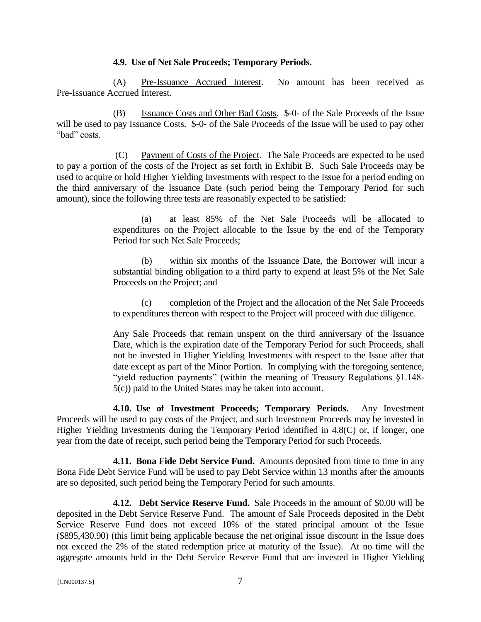### **4.9. Use of Net Sale Proceeds; Temporary Periods.**

(A) Pre-Issuance Accrued Interest. No amount has been received as Pre-Issuance Accrued Interest.

(B) Issuance Costs and Other Bad Costs. \$-0- of the Sale Proceeds of the Issue will be used to pay Issuance Costs. \$-0- of the Sale Proceeds of the Issue will be used to pay other "bad" costs.

(C) Payment of Costs of the Project. The Sale Proceeds are expected to be used to pay a portion of the costs of the Project as set forth in Exhibit B. Such Sale Proceeds may be used to acquire or hold Higher Yielding Investments with respect to the Issue for a period ending on the third anniversary of the Issuance Date (such period being the Temporary Period for such amount), since the following three tests are reasonably expected to be satisfied:

> (a) at least 85% of the Net Sale Proceeds will be allocated to expenditures on the Project allocable to the Issue by the end of the Temporary Period for such Net Sale Proceeds;

> (b) within six months of the Issuance Date, the Borrower will incur a substantial binding obligation to a third party to expend at least 5% of the Net Sale Proceeds on the Project; and

> (c) completion of the Project and the allocation of the Net Sale Proceeds to expenditures thereon with respect to the Project will proceed with due diligence.

> Any Sale Proceeds that remain unspent on the third anniversary of the Issuance Date, which is the expiration date of the Temporary Period for such Proceeds, shall not be invested in Higher Yielding Investments with respect to the Issue after that date except as part of the Minor Portion. In complying with the foregoing sentence, "yield reduction payments" (within the meaning of Treasury Regulations §1.148- 5(c)) paid to the United States may be taken into account.

**4.10. Use of Investment Proceeds; Temporary Periods.** Any Investment Proceeds will be used to pay costs of the Project, and such Investment Proceeds may be invested in Higher Yielding Investments during the Temporary Period identified in 4.8(C) or, if longer, one year from the date of receipt, such period being the Temporary Period for such Proceeds.

**4.11. Bona Fide Debt Service Fund.** Amounts deposited from time to time in any Bona Fide Debt Service Fund will be used to pay Debt Service within 13 months after the amounts are so deposited, such period being the Temporary Period for such amounts.

**4.12. Debt Service Reserve Fund.** Sale Proceeds in the amount of \$0.00 will be deposited in the Debt Service Reserve Fund. The amount of Sale Proceeds deposited in the Debt Service Reserve Fund does not exceed 10% of the stated principal amount of the Issue (\$895,430.90) (this limit being applicable because the net original issue discount in the Issue does not exceed the 2% of the stated redemption price at maturity of the Issue). At no time will the aggregate amounts held in the Debt Service Reserve Fund that are invested in Higher Yielding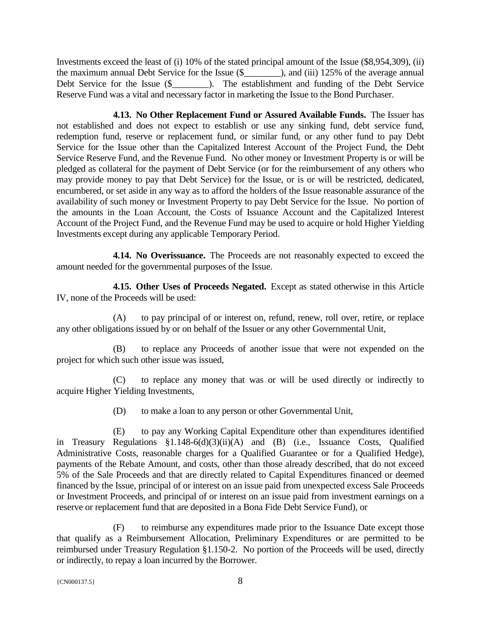Investments exceed the least of (i) 10% of the stated principal amount of the Issue (\$8,954,309), (ii) the maximum annual Debt Service for the Issue (\$), and (iii) 125% of the average annual Debt Service for the Issue (\$\_\_\_\_\_\_\_\_). The establishment and funding of the Debt Service Reserve Fund was a vital and necessary factor in marketing the Issue to the Bond Purchaser.

**4.13. No Other Replacement Fund or Assured Available Funds.** The Issuer has not established and does not expect to establish or use any sinking fund, debt service fund, redemption fund, reserve or replacement fund, or similar fund, or any other fund to pay Debt Service for the Issue other than the Capitalized Interest Account of the Project Fund, the Debt Service Reserve Fund, and the Revenue Fund. No other money or Investment Property is or will be pledged as collateral for the payment of Debt Service (or for the reimbursement of any others who may provide money to pay that Debt Service) for the Issue, or is or will be restricted, dedicated, encumbered, or set aside in any way as to afford the holders of the Issue reasonable assurance of the availability of such money or Investment Property to pay Debt Service for the Issue. No portion of the amounts in the Loan Account, the Costs of Issuance Account and the Capitalized Interest Account of the Project Fund, and the Revenue Fund may be used to acquire or hold Higher Yielding Investments except during any applicable Temporary Period.

**4.14. No Overissuance.** The Proceeds are not reasonably expected to exceed the amount needed for the governmental purposes of the Issue.

**4.15. Other Uses of Proceeds Negated.** Except as stated otherwise in this Article IV, none of the Proceeds will be used:

(A) to pay principal of or interest on, refund, renew, roll over, retire, or replace any other obligations issued by or on behalf of the Issuer or any other Governmental Unit,

(B) to replace any Proceeds of another issue that were not expended on the project for which such other issue was issued,

(C) to replace any money that was or will be used directly or indirectly to acquire Higher Yielding Investments,

(D) to make a loan to any person or other Governmental Unit,

(E) to pay any Working Capital Expenditure other than expenditures identified in Treasury Regulations §1.148-6(d)(3)(ii)(A) and (B) (i.e., Issuance Costs, Qualified Administrative Costs, reasonable charges for a Qualified Guarantee or for a Qualified Hedge), payments of the Rebate Amount, and costs, other than those already described, that do not exceed 5% of the Sale Proceeds and that are directly related to Capital Expenditures financed or deemed financed by the Issue, principal of or interest on an issue paid from unexpected excess Sale Proceeds or Investment Proceeds, and principal of or interest on an issue paid from investment earnings on a reserve or replacement fund that are deposited in a Bona Fide Debt Service Fund), or

(F) to reimburse any expenditures made prior to the Issuance Date except those that qualify as a Reimbursement Allocation, Preliminary Expenditures or are permitted to be reimbursed under Treasury Regulation §1.150-2. No portion of the Proceeds will be used, directly or indirectly, to repay a loan incurred by the Borrower.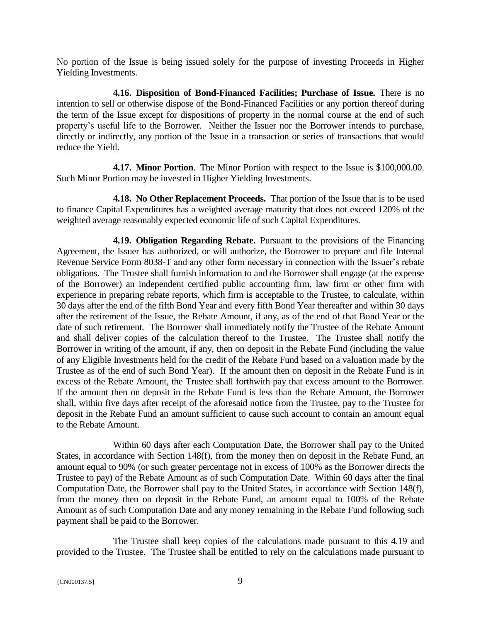No portion of the Issue is being issued solely for the purpose of investing Proceeds in Higher Yielding Investments.

**4.16. Disposition of Bond-Financed Facilities; Purchase of Issue.** There is no intention to sell or otherwise dispose of the Bond-Financed Facilities or any portion thereof during the term of the Issue except for dispositions of property in the normal course at the end of such property's useful life to the Borrower. Neither the Issuer nor the Borrower intends to purchase, directly or indirectly, any portion of the Issue in a transaction or series of transactions that would reduce the Yield.

**4.17. Minor Portion**. The Minor Portion with respect to the Issue is \$100,000.00. Such Minor Portion may be invested in Higher Yielding Investments.

**4.18. No Other Replacement Proceeds.** That portion of the Issue that is to be used to finance Capital Expenditures has a weighted average maturity that does not exceed 120% of the weighted average reasonably expected economic life of such Capital Expenditures.

**4.19. Obligation Regarding Rebate.** Pursuant to the provisions of the Financing Agreement, the Issuer has authorized, or will authorize, the Borrower to prepare and file Internal Revenue Service Form 8038-T and any other form necessary in connection with the Issuer's rebate obligations. The Trustee shall furnish information to and the Borrower shall engage (at the expense of the Borrower) an independent certified public accounting firm, law firm or other firm with experience in preparing rebate reports, which firm is acceptable to the Trustee, to calculate, within 30 days after the end of the fifth Bond Year and every fifth Bond Year thereafter and within 30 days after the retirement of the Issue, the Rebate Amount, if any, as of the end of that Bond Year or the date of such retirement. The Borrower shall immediately notify the Trustee of the Rebate Amount and shall deliver copies of the calculation thereof to the Trustee. The Trustee shall notify the Borrower in writing of the amount, if any, then on deposit in the Rebate Fund (including the value of any Eligible Investments held for the credit of the Rebate Fund based on a valuation made by the Trustee as of the end of such Bond Year). If the amount then on deposit in the Rebate Fund is in excess of the Rebate Amount, the Trustee shall forthwith pay that excess amount to the Borrower. If the amount then on deposit in the Rebate Fund is less than the Rebate Amount, the Borrower shall, within five days after receipt of the aforesaid notice from the Trustee, pay to the Trustee for deposit in the Rebate Fund an amount sufficient to cause such account to contain an amount equal to the Rebate Amount.

Within 60 days after each Computation Date, the Borrower shall pay to the United States, in accordance with Section 148(f), from the money then on deposit in the Rebate Fund, an amount equal to 90% (or such greater percentage not in excess of 100% as the Borrower directs the Trustee to pay) of the Rebate Amount as of such Computation Date. Within 60 days after the final Computation Date, the Borrower shall pay to the United States, in accordance with Section 148(f), from the money then on deposit in the Rebate Fund, an amount equal to 100% of the Rebate Amount as of such Computation Date and any money remaining in the Rebate Fund following such payment shall be paid to the Borrower.

The Trustee shall keep copies of the calculations made pursuant to this 4.19 and provided to the Trustee. The Trustee shall be entitled to rely on the calculations made pursuant to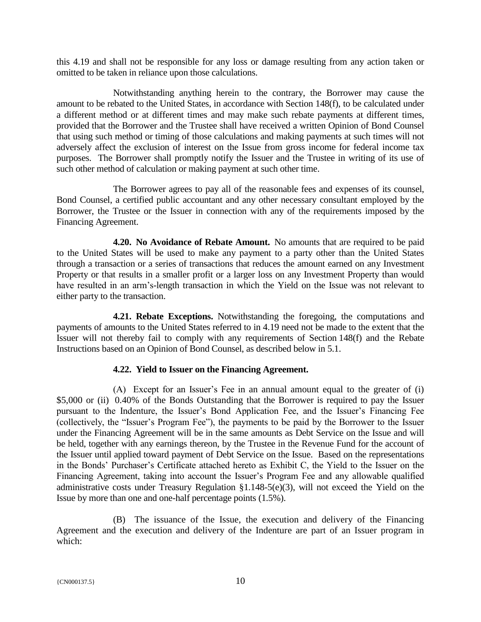this 4.19 and shall not be responsible for any loss or damage resulting from any action taken or omitted to be taken in reliance upon those calculations.

Notwithstanding anything herein to the contrary, the Borrower may cause the amount to be rebated to the United States, in accordance with Section 148(f), to be calculated under a different method or at different times and may make such rebate payments at different times, provided that the Borrower and the Trustee shall have received a written Opinion of Bond Counsel that using such method or timing of those calculations and making payments at such times will not adversely affect the exclusion of interest on the Issue from gross income for federal income tax purposes. The Borrower shall promptly notify the Issuer and the Trustee in writing of its use of such other method of calculation or making payment at such other time.

The Borrower agrees to pay all of the reasonable fees and expenses of its counsel, Bond Counsel, a certified public accountant and any other necessary consultant employed by the Borrower, the Trustee or the Issuer in connection with any of the requirements imposed by the Financing Agreement.

**4.20. No Avoidance of Rebate Amount.** No amounts that are required to be paid to the United States will be used to make any payment to a party other than the United States through a transaction or a series of transactions that reduces the amount earned on any Investment Property or that results in a smaller profit or a larger loss on any Investment Property than would have resulted in an arm's-length transaction in which the Yield on the Issue was not relevant to either party to the transaction.

**4.21. Rebate Exceptions.** Notwithstanding the foregoing, the computations and payments of amounts to the United States referred to in 4.19 need not be made to the extent that the Issuer will not thereby fail to comply with any requirements of Section 148(f) and the Rebate Instructions based on an Opinion of Bond Counsel, as described below in 5.1.

# **4.22. Yield to Issuer on the Financing Agreement.**

(A) Except for an Issuer's Fee in an annual amount equal to the greater of (i) \$5,000 or (ii) 0.40% of the Bonds Outstanding that the Borrower is required to pay the Issuer pursuant to the Indenture, the Issuer's Bond Application Fee, and the Issuer's Financing Fee (collectively, the "Issuer's Program Fee"), the payments to be paid by the Borrower to the Issuer under the Financing Agreement will be in the same amounts as Debt Service on the Issue and will be held, together with any earnings thereon, by the Trustee in the Revenue Fund for the account of the Issuer until applied toward payment of Debt Service on the Issue. Based on the representations in the Bonds' Purchaser's Certificate attached hereto as Exhibit C, the Yield to the Issuer on the Financing Agreement, taking into account the Issuer's Program Fee and any allowable qualified administrative costs under Treasury Regulation §1.148-5(e)(3), will not exceed the Yield on the Issue by more than one and one-half percentage points (1.5%).

(B) The issuance of the Issue, the execution and delivery of the Financing Agreement and the execution and delivery of the Indenture are part of an Issuer program in which: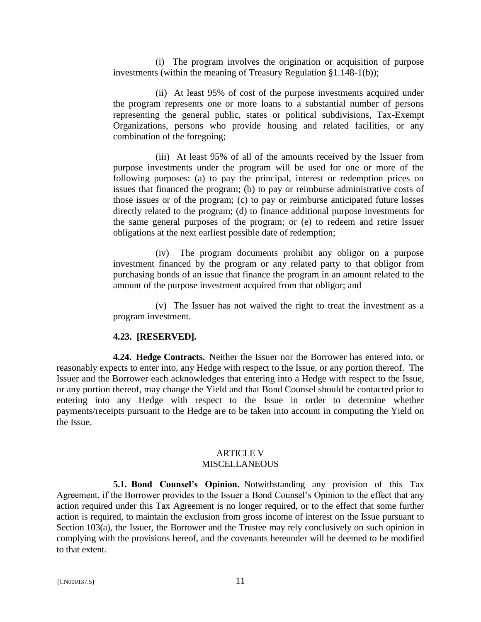(i) The program involves the origination or acquisition of purpose investments (within the meaning of Treasury Regulation §1.148-1(b));

(ii) At least 95% of cost of the purpose investments acquired under the program represents one or more loans to a substantial number of persons representing the general public, states or political subdivisions, Tax-Exempt Organizations, persons who provide housing and related facilities, or any combination of the foregoing;

(iii) At least 95% of all of the amounts received by the Issuer from purpose investments under the program will be used for one or more of the following purposes: (a) to pay the principal, interest or redemption prices on issues that financed the program; (b) to pay or reimburse administrative costs of those issues or of the program; (c) to pay or reimburse anticipated future losses directly related to the program; (d) to finance additional purpose investments for the same general purposes of the program; or (e) to redeem and retire Issuer obligations at the next earliest possible date of redemption;

(iv) The program documents prohibit any obligor on a purpose investment financed by the program or any related party to that obligor from purchasing bonds of an issue that finance the program in an amount related to the amount of the purpose investment acquired from that obligor; and

(v) The Issuer has not waived the right to treat the investment as a program investment.

### **4.23. [RESERVED].**

**4.24. Hedge Contracts.** Neither the Issuer nor the Borrower has entered into, or reasonably expects to enter into, any Hedge with respect to the Issue, or any portion thereof. The Issuer and the Borrower each acknowledges that entering into a Hedge with respect to the Issue, or any portion thereof, may change the Yield and that Bond Counsel should be contacted prior to entering into any Hedge with respect to the Issue in order to determine whether payments/receipts pursuant to the Hedge are to be taken into account in computing the Yield on the Issue.

#### ARTICLE V **MISCELLANEOUS**

**5.1. Bond Counsel's Opinion.** Notwithstanding any provision of this Tax Agreement, if the Borrower provides to the Issuer a Bond Counsel's Opinion to the effect that any action required under this Tax Agreement is no longer required, or to the effect that some further action is required, to maintain the exclusion from gross income of interest on the Issue pursuant to Section 103(a), the Issuer, the Borrower and the Trustee may rely conclusively on such opinion in complying with the provisions hereof, and the covenants hereunder will be deemed to be modified to that extent.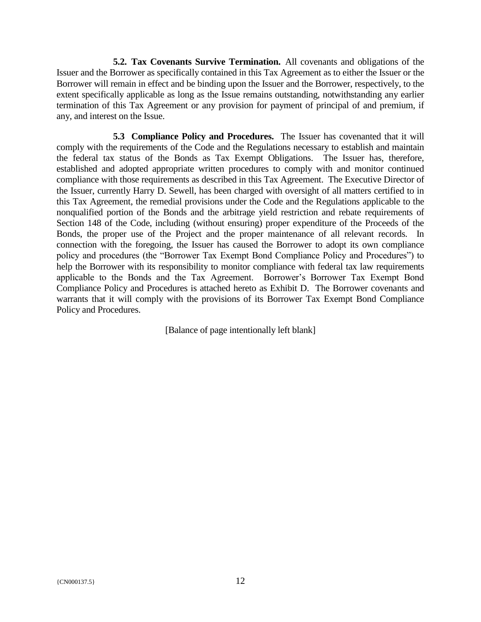**5.2. Tax Covenants Survive Termination.** All covenants and obligations of the Issuer and the Borrower as specifically contained in this Tax Agreement as to either the Issuer or the Borrower will remain in effect and be binding upon the Issuer and the Borrower, respectively, to the extent specifically applicable as long as the Issue remains outstanding, notwithstanding any earlier termination of this Tax Agreement or any provision for payment of principal of and premium, if any, and interest on the Issue.

**5.3 Compliance Policy and Procedures.** The Issuer has covenanted that it will comply with the requirements of the Code and the Regulations necessary to establish and maintain the federal tax status of the Bonds as Tax Exempt Obligations. The Issuer has, therefore, established and adopted appropriate written procedures to comply with and monitor continued compliance with those requirements as described in this Tax Agreement. The Executive Director of the Issuer, currently Harry D. Sewell, has been charged with oversight of all matters certified to in this Tax Agreement, the remedial provisions under the Code and the Regulations applicable to the nonqualified portion of the Bonds and the arbitrage yield restriction and rebate requirements of Section 148 of the Code, including (without ensuring) proper expenditure of the Proceeds of the Bonds, the proper use of the Project and the proper maintenance of all relevant records. In connection with the foregoing, the Issuer has caused the Borrower to adopt its own compliance policy and procedures (the "Borrower Tax Exempt Bond Compliance Policy and Procedures") to help the Borrower with its responsibility to monitor compliance with federal tax law requirements applicable to the Bonds and the Tax Agreement. Borrower's Borrower Tax Exempt Bond Compliance Policy and Procedures is attached hereto as Exhibit D. The Borrower covenants and warrants that it will comply with the provisions of its Borrower Tax Exempt Bond Compliance Policy and Procedures.

[Balance of page intentionally left blank]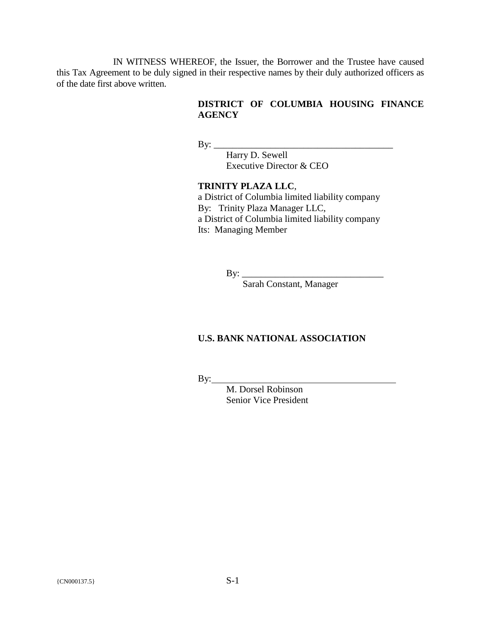IN WITNESS WHEREOF, the Issuer, the Borrower and the Trustee have caused this Tax Agreement to be duly signed in their respective names by their duly authorized officers as of the date first above written.

# **DISTRICT OF COLUMBIA HOUSING FINANCE AGENCY**

 $\mathbf{By:} \_\_$ 

Harry D. Sewell Executive Director & CEO

**TRINITY PLAZA LLC**, a District of Columbia limited liability company By: Trinity Plaza Manager LLC, a District of Columbia limited liability company Its: Managing Member

By: \_\_\_\_\_\_\_\_\_\_\_\_\_\_\_\_\_\_\_\_\_\_\_\_\_\_\_\_\_\_

Sarah Constant, Manager

### **U.S. BANK NATIONAL ASSOCIATION**

 $By:$ 

M. Dorsel Robinson Senior Vice President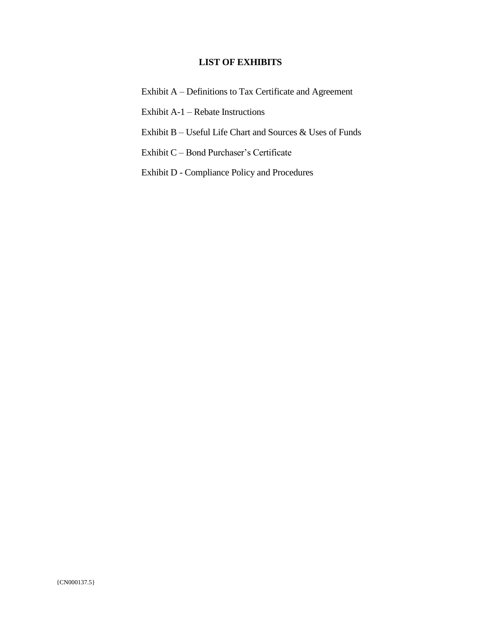# **LIST OF EXHIBITS**

Exhibit A – Definitions to Tax Certificate and Agreement

Exhibit A-1 – Rebate Instructions

Exhibit B – Useful Life Chart and Sources & Uses of Funds

Exhibit C – Bond Purchaser's Certificate

Exhibit D - Compliance Policy and Procedures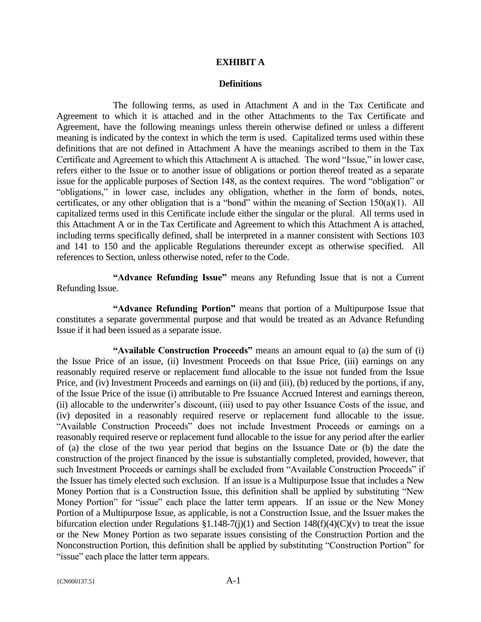### **EXHIBIT A**

#### **Definitions**

The following terms, as used in Attachment A and in the Tax Certificate and Agreement to which it is attached and in the other Attachments to the Tax Certificate and Agreement, have the following meanings unless therein otherwise defined or unless a different meaning is indicated by the context in which the term is used. Capitalized terms used within these definitions that are not defined in Attachment A have the meanings ascribed to them in the Tax Certificate and Agreement to which this Attachment A is attached. The word "Issue," in lower case, refers either to the Issue or to another issue of obligations or portion thereof treated as a separate issue for the applicable purposes of Section 148, as the context requires. The word "obligation" or "obligations," in lower case, includes any obligation, whether in the form of bonds, notes, certificates, or any other obligation that is a "bond" within the meaning of Section 150(a)(1). All capitalized terms used in this Certificate include either the singular or the plural. All terms used in this Attachment A or in the Tax Certificate and Agreement to which this Attachment A is attached, including terms specifically defined, shall be interpreted in a manner consistent with Sections 103 and 141 to 150 and the applicable Regulations thereunder except as otherwise specified. All references to Section, unless otherwise noted, refer to the Code.

**"Advance Refunding Issue"** means any Refunding Issue that is not a Current Refunding Issue.

**"Advance Refunding Portion"** means that portion of a Multipurpose Issue that constitutes a separate governmental purpose and that would be treated as an Advance Refunding Issue if it had been issued as a separate issue.

**"Available Construction Proceeds"** means an amount equal to (a) the sum of (i) the Issue Price of an issue, (ii) Investment Proceeds on that Issue Price, (iii) earnings on any reasonably required reserve or replacement fund allocable to the issue not funded from the Issue Price, and (iv) Investment Proceeds and earnings on (ii) and (iii), (b) reduced by the portions, if any, of the Issue Price of the issue (i) attributable to Pre Issuance Accrued Interest and earnings thereon, (ii) allocable to the underwriter's discount, (iii) used to pay other Issuance Costs of the issue, and (iv) deposited in a reasonably required reserve or replacement fund allocable to the issue. "Available Construction Proceeds" does not include Investment Proceeds or earnings on a reasonably required reserve or replacement fund allocable to the issue for any period after the earlier of (a) the close of the two year period that begins on the Issuance Date or (b) the date the construction of the project financed by the issue is substantially completed, provided, however, that such Investment Proceeds or earnings shall be excluded from "Available Construction Proceeds" if the Issuer has timely elected such exclusion. If an issue is a Multipurpose Issue that includes a New Money Portion that is a Construction Issue, this definition shall be applied by substituting "New Money Portion" for "issue" each place the latter term appears. If an issue or the New Money Portion of a Multipurpose Issue, as applicable, is not a Construction Issue, and the Issuer makes the bifurcation election under Regulations  $$1.148-7(j)(1)$  and Section  $148(f)(4)(C)(v)$  to treat the issue or the New Money Portion as two separate issues consisting of the Construction Portion and the Nonconstruction Portion, this definition shall be applied by substituting "Construction Portion" for "issue" each place the latter term appears.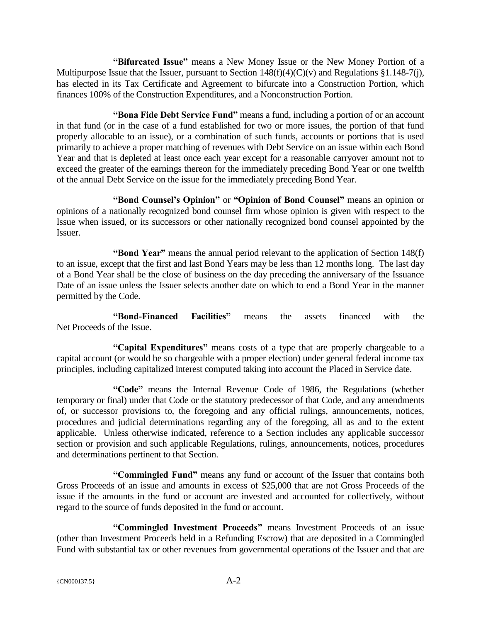**"Bifurcated Issue"** means a New Money Issue or the New Money Portion of a Multipurpose Issue that the Issuer, pursuant to Section  $148(f)(4)(C)(v)$  and Regulations §1.148-7(j), has elected in its Tax Certificate and Agreement to bifurcate into a Construction Portion, which finances 100% of the Construction Expenditures, and a Nonconstruction Portion.

**"Bona Fide Debt Service Fund"** means a fund, including a portion of or an account in that fund (or in the case of a fund established for two or more issues, the portion of that fund properly allocable to an issue), or a combination of such funds, accounts or portions that is used primarily to achieve a proper matching of revenues with Debt Service on an issue within each Bond Year and that is depleted at least once each year except for a reasonable carryover amount not to exceed the greater of the earnings thereon for the immediately preceding Bond Year or one twelfth of the annual Debt Service on the issue for the immediately preceding Bond Year.

**"Bond Counsel's Opinion"** or **"Opinion of Bond Counsel"** means an opinion or opinions of a nationally recognized bond counsel firm whose opinion is given with respect to the Issue when issued, or its successors or other nationally recognized bond counsel appointed by the Issuer.

**"Bond Year"** means the annual period relevant to the application of Section 148(f) to an issue, except that the first and last Bond Years may be less than 12 months long. The last day of a Bond Year shall be the close of business on the day preceding the anniversary of the Issuance Date of an issue unless the Issuer selects another date on which to end a Bond Year in the manner permitted by the Code.

**"Bond-Financed Facilities"** means the assets financed with the Net Proceeds of the Issue.

**"Capital Expenditures"** means costs of a type that are properly chargeable to a capital account (or would be so chargeable with a proper election) under general federal income tax principles, including capitalized interest computed taking into account the Placed in Service date.

**"Code"** means the Internal Revenue Code of 1986, the Regulations (whether temporary or final) under that Code or the statutory predecessor of that Code, and any amendments of, or successor provisions to, the foregoing and any official rulings, announcements, notices, procedures and judicial determinations regarding any of the foregoing, all as and to the extent applicable. Unless otherwise indicated, reference to a Section includes any applicable successor section or provision and such applicable Regulations, rulings, announcements, notices, procedures and determinations pertinent to that Section.

**"Commingled Fund"** means any fund or account of the Issuer that contains both Gross Proceeds of an issue and amounts in excess of \$25,000 that are not Gross Proceeds of the issue if the amounts in the fund or account are invested and accounted for collectively, without regard to the source of funds deposited in the fund or account.

**"Commingled Investment Proceeds"** means Investment Proceeds of an issue (other than Investment Proceeds held in a Refunding Escrow) that are deposited in a Commingled Fund with substantial tax or other revenues from governmental operations of the Issuer and that are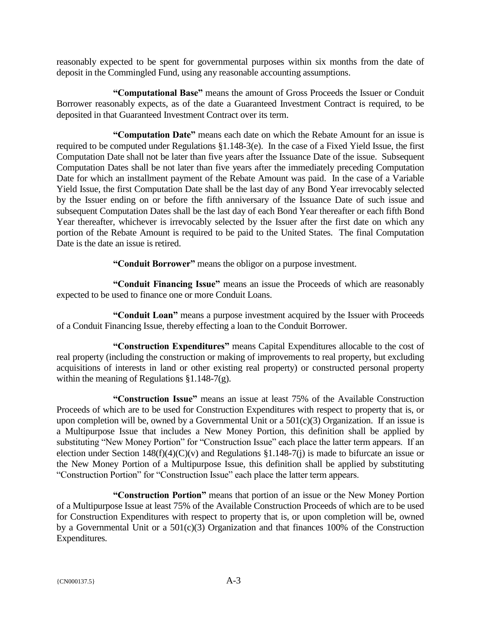reasonably expected to be spent for governmental purposes within six months from the date of deposit in the Commingled Fund, using any reasonable accounting assumptions.

**"Computational Base"** means the amount of Gross Proceeds the Issuer or Conduit Borrower reasonably expects, as of the date a Guaranteed Investment Contract is required, to be deposited in that Guaranteed Investment Contract over its term.

**"Computation Date"** means each date on which the Rebate Amount for an issue is required to be computed under Regulations §1.148-3(e). In the case of a Fixed Yield Issue, the first Computation Date shall not be later than five years after the Issuance Date of the issue. Subsequent Computation Dates shall be not later than five years after the immediately preceding Computation Date for which an installment payment of the Rebate Amount was paid. In the case of a Variable Yield Issue, the first Computation Date shall be the last day of any Bond Year irrevocably selected by the Issuer ending on or before the fifth anniversary of the Issuance Date of such issue and subsequent Computation Dates shall be the last day of each Bond Year thereafter or each fifth Bond Year thereafter, whichever is irrevocably selected by the Issuer after the first date on which any portion of the Rebate Amount is required to be paid to the United States. The final Computation Date is the date an issue is retired.

**"Conduit Borrower"** means the obligor on a purpose investment.

**"Conduit Financing Issue"** means an issue the Proceeds of which are reasonably expected to be used to finance one or more Conduit Loans.

**"Conduit Loan"** means a purpose investment acquired by the Issuer with Proceeds of a Conduit Financing Issue, thereby effecting a loan to the Conduit Borrower.

**"Construction Expenditures"** means Capital Expenditures allocable to the cost of real property (including the construction or making of improvements to real property, but excluding acquisitions of interests in land or other existing real property) or constructed personal property within the meaning of Regulations §1.148-7(g).

**"Construction Issue"** means an issue at least 75% of the Available Construction Proceeds of which are to be used for Construction Expenditures with respect to property that is, or upon completion will be, owned by a Governmental Unit or a 501(c)(3) Organization. If an issue is a Multipurpose Issue that includes a New Money Portion, this definition shall be applied by substituting "New Money Portion" for "Construction Issue" each place the latter term appears. If an election under Section 148(f)(4)(C)(v) and Regulations §1.148-7(j) is made to bifurcate an issue or the New Money Portion of a Multipurpose Issue, this definition shall be applied by substituting "Construction Portion" for "Construction Issue" each place the latter term appears.

**"Construction Portion"** means that portion of an issue or the New Money Portion of a Multipurpose Issue at least 75% of the Available Construction Proceeds of which are to be used for Construction Expenditures with respect to property that is, or upon completion will be, owned by a Governmental Unit or a  $501(c)(3)$  Organization and that finances 100% of the Construction Expenditures.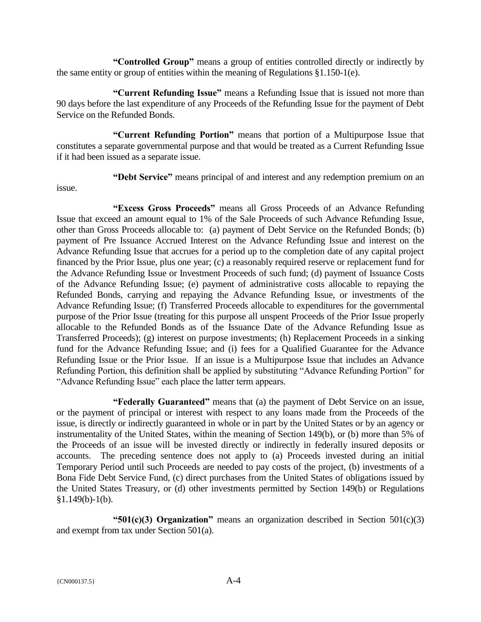**"Controlled Group"** means a group of entities controlled directly or indirectly by the same entity or group of entities within the meaning of Regulations §1.150-1(e).

**"Current Refunding Issue"** means a Refunding Issue that is issued not more than 90 days before the last expenditure of any Proceeds of the Refunding Issue for the payment of Debt Service on the Refunded Bonds.

**"Current Refunding Portion"** means that portion of a Multipurpose Issue that constitutes a separate governmental purpose and that would be treated as a Current Refunding Issue if it had been issued as a separate issue.

issue.

**"Debt Service"** means principal of and interest and any redemption premium on an

**"Excess Gross Proceeds"** means all Gross Proceeds of an Advance Refunding Issue that exceed an amount equal to 1% of the Sale Proceeds of such Advance Refunding Issue, other than Gross Proceeds allocable to: (a) payment of Debt Service on the Refunded Bonds; (b) payment of Pre Issuance Accrued Interest on the Advance Refunding Issue and interest on the Advance Refunding Issue that accrues for a period up to the completion date of any capital project financed by the Prior Issue, plus one year; (c) a reasonably required reserve or replacement fund for the Advance Refunding Issue or Investment Proceeds of such fund; (d) payment of Issuance Costs of the Advance Refunding Issue; (e) payment of administrative costs allocable to repaying the Refunded Bonds, carrying and repaying the Advance Refunding Issue, or investments of the Advance Refunding Issue; (f) Transferred Proceeds allocable to expenditures for the governmental purpose of the Prior Issue (treating for this purpose all unspent Proceeds of the Prior Issue properly allocable to the Refunded Bonds as of the Issuance Date of the Advance Refunding Issue as Transferred Proceeds); (g) interest on purpose investments; (h) Replacement Proceeds in a sinking fund for the Advance Refunding Issue; and (i) fees for a Qualified Guarantee for the Advance Refunding Issue or the Prior Issue. If an issue is a Multipurpose Issue that includes an Advance Refunding Portion, this definition shall be applied by substituting "Advance Refunding Portion" for "Advance Refunding Issue" each place the latter term appears.

**"Federally Guaranteed"** means that (a) the payment of Debt Service on an issue, or the payment of principal or interest with respect to any loans made from the Proceeds of the issue, is directly or indirectly guaranteed in whole or in part by the United States or by an agency or instrumentality of the United States, within the meaning of Section 149(b), or (b) more than 5% of the Proceeds of an issue will be invested directly or indirectly in federally insured deposits or accounts. The preceding sentence does not apply to (a) Proceeds invested during an initial Temporary Period until such Proceeds are needed to pay costs of the project, (b) investments of a Bona Fide Debt Service Fund, (c) direct purchases from the United States of obligations issued by the United States Treasury, or (d) other investments permitted by Section 149(b) or Regulations  $§1.149(b)-1(b).$ 

**"501(c)(3) Organization"** means an organization described in Section 501(c)(3) and exempt from tax under Section 501(a).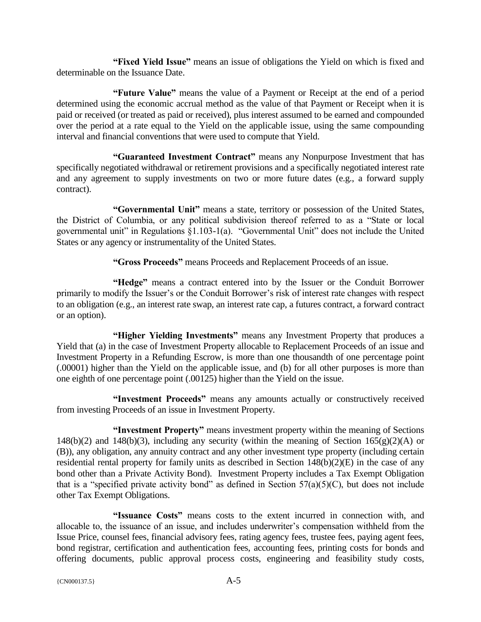**"Fixed Yield Issue"** means an issue of obligations the Yield on which is fixed and determinable on the Issuance Date.

**"Future Value"** means the value of a Payment or Receipt at the end of a period determined using the economic accrual method as the value of that Payment or Receipt when it is paid or received (or treated as paid or received), plus interest assumed to be earned and compounded over the period at a rate equal to the Yield on the applicable issue, using the same compounding interval and financial conventions that were used to compute that Yield.

**"Guaranteed Investment Contract"** means any Nonpurpose Investment that has specifically negotiated withdrawal or retirement provisions and a specifically negotiated interest rate and any agreement to supply investments on two or more future dates (e.g., a forward supply contract).

**"Governmental Unit"** means a state, territory or possession of the United States, the District of Columbia, or any political subdivision thereof referred to as a "State or local governmental unit" in Regulations §1.103-1(a). "Governmental Unit" does not include the United States or any agency or instrumentality of the United States.

**"Gross Proceeds"** means Proceeds and Replacement Proceeds of an issue.

**"Hedge"** means a contract entered into by the Issuer or the Conduit Borrower primarily to modify the Issuer's or the Conduit Borrower's risk of interest rate changes with respect to an obligation (e.g., an interest rate swap, an interest rate cap, a futures contract, a forward contract or an option).

**"Higher Yielding Investments"** means any Investment Property that produces a Yield that (a) in the case of Investment Property allocable to Replacement Proceeds of an issue and Investment Property in a Refunding Escrow, is more than one thousandth of one percentage point (.00001) higher than the Yield on the applicable issue, and (b) for all other purposes is more than one eighth of one percentage point (.00125) higher than the Yield on the issue.

**"Investment Proceeds"** means any amounts actually or constructively received from investing Proceeds of an issue in Investment Property.

**"Investment Property"** means investment property within the meaning of Sections 148(b)(2) and 148(b)(3), including any security (within the meaning of Section 165(g)(2)(A) or (B)), any obligation, any annuity contract and any other investment type property (including certain residential rental property for family units as described in Section  $148(b)(2)(E)$  in the case of any bond other than a Private Activity Bond). Investment Property includes a Tax Exempt Obligation that is a "specified private activity bond" as defined in Section  $57(a)(5)(C)$ , but does not include other Tax Exempt Obligations.

**"Issuance Costs"** means costs to the extent incurred in connection with, and allocable to, the issuance of an issue, and includes underwriter's compensation withheld from the Issue Price, counsel fees, financial advisory fees, rating agency fees, trustee fees, paying agent fees, bond registrar, certification and authentication fees, accounting fees, printing costs for bonds and offering documents, public approval process costs, engineering and feasibility study costs,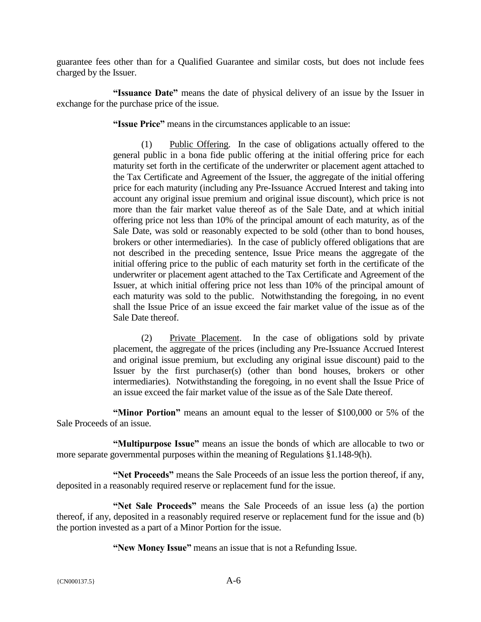guarantee fees other than for a Qualified Guarantee and similar costs, but does not include fees charged by the Issuer.

**"Issuance Date"** means the date of physical delivery of an issue by the Issuer in exchange for the purchase price of the issue.

**"Issue Price"** means in the circumstances applicable to an issue:

(1) Public Offering. In the case of obligations actually offered to the general public in a bona fide public offering at the initial offering price for each maturity set forth in the certificate of the underwriter or placement agent attached to the Tax Certificate and Agreement of the Issuer, the aggregate of the initial offering price for each maturity (including any Pre-Issuance Accrued Interest and taking into account any original issue premium and original issue discount), which price is not more than the fair market value thereof as of the Sale Date, and at which initial offering price not less than 10% of the principal amount of each maturity, as of the Sale Date, was sold or reasonably expected to be sold (other than to bond houses, brokers or other intermediaries). In the case of publicly offered obligations that are not described in the preceding sentence, Issue Price means the aggregate of the initial offering price to the public of each maturity set forth in the certificate of the underwriter or placement agent attached to the Tax Certificate and Agreement of the Issuer, at which initial offering price not less than 10% of the principal amount of each maturity was sold to the public. Notwithstanding the foregoing, in no event shall the Issue Price of an issue exceed the fair market value of the issue as of the Sale Date thereof.

(2) Private Placement. In the case of obligations sold by private placement, the aggregate of the prices (including any Pre-Issuance Accrued Interest and original issue premium, but excluding any original issue discount) paid to the Issuer by the first purchaser(s) (other than bond houses, brokers or other intermediaries). Notwithstanding the foregoing, in no event shall the Issue Price of an issue exceed the fair market value of the issue as of the Sale Date thereof.

**"Minor Portion"** means an amount equal to the lesser of \$100,000 or 5% of the Sale Proceeds of an issue.

**"Multipurpose Issue"** means an issue the bonds of which are allocable to two or more separate governmental purposes within the meaning of Regulations §1.148-9(h).

**"Net Proceeds"** means the Sale Proceeds of an issue less the portion thereof, if any, deposited in a reasonably required reserve or replacement fund for the issue.

**"Net Sale Proceeds"** means the Sale Proceeds of an issue less (a) the portion thereof, if any, deposited in a reasonably required reserve or replacement fund for the issue and (b) the portion invested as a part of a Minor Portion for the issue.

**"New Money Issue"** means an issue that is not a Refunding Issue.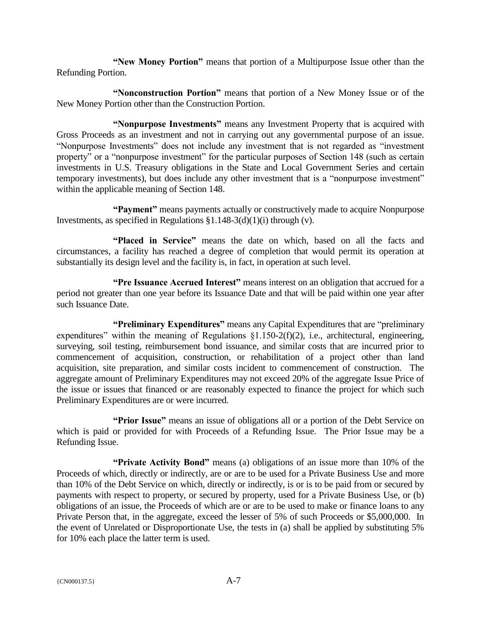**"New Money Portion"** means that portion of a Multipurpose Issue other than the Refunding Portion.

**"Nonconstruction Portion"** means that portion of a New Money Issue or of the New Money Portion other than the Construction Portion.

**"Nonpurpose Investments"** means any Investment Property that is acquired with Gross Proceeds as an investment and not in carrying out any governmental purpose of an issue. "Nonpurpose Investments" does not include any investment that is not regarded as "investment property" or a "nonpurpose investment" for the particular purposes of Section 148 (such as certain investments in U.S. Treasury obligations in the State and Local Government Series and certain temporary investments), but does include any other investment that is a "nonpurpose investment" within the applicable meaning of Section 148.

**"Payment"** means payments actually or constructively made to acquire Nonpurpose Investments, as specified in Regulations  $$1.148-3(d)(1)(i)$  through (v).

**"Placed in Service"** means the date on which, based on all the facts and circumstances, a facility has reached a degree of completion that would permit its operation at substantially its design level and the facility is, in fact, in operation at such level.

**"Pre Issuance Accrued Interest"** means interest on an obligation that accrued for a period not greater than one year before its Issuance Date and that will be paid within one year after such Issuance Date.

**"Preliminary Expenditures"** means any Capital Expenditures that are "preliminary expenditures" within the meaning of Regulations  $\S1.150-2(f)(2)$ , i.e., architectural, engineering, surveying, soil testing, reimbursement bond issuance, and similar costs that are incurred prior to commencement of acquisition, construction, or rehabilitation of a project other than land acquisition, site preparation, and similar costs incident to commencement of construction. The aggregate amount of Preliminary Expenditures may not exceed 20% of the aggregate Issue Price of the issue or issues that financed or are reasonably expected to finance the project for which such Preliminary Expenditures are or were incurred.

**"Prior Issue"** means an issue of obligations all or a portion of the Debt Service on which is paid or provided for with Proceeds of a Refunding Issue. The Prior Issue may be a Refunding Issue.

**"Private Activity Bond"** means (a) obligations of an issue more than 10% of the Proceeds of which, directly or indirectly, are or are to be used for a Private Business Use and more than 10% of the Debt Service on which, directly or indirectly, is or is to be paid from or secured by payments with respect to property, or secured by property, used for a Private Business Use, or (b) obligations of an issue, the Proceeds of which are or are to be used to make or finance loans to any Private Person that, in the aggregate, exceed the lesser of 5% of such Proceeds or \$5,000,000. In the event of Unrelated or Disproportionate Use, the tests in (a) shall be applied by substituting 5% for 10% each place the latter term is used.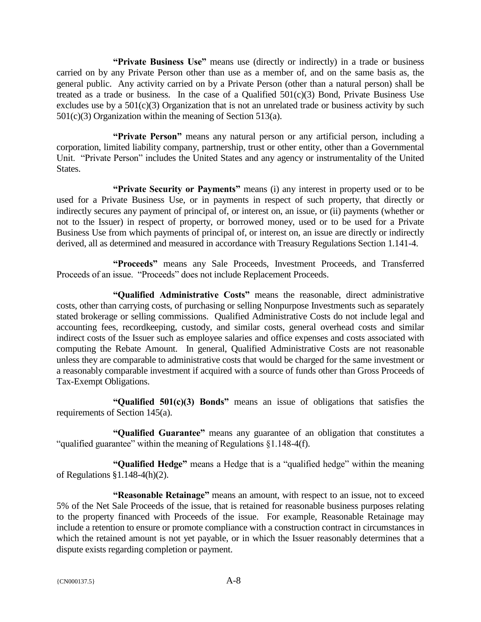**"Private Business Use"** means use (directly or indirectly) in a trade or business carried on by any Private Person other than use as a member of, and on the same basis as, the general public. Any activity carried on by a Private Person (other than a natural person) shall be treated as a trade or business. In the case of a Qualified  $501(c)(3)$  Bond, Private Business Use excludes use by a  $501(c)(3)$  Organization that is not an unrelated trade or business activity by such 501(c)(3) Organization within the meaning of Section 513(a).

**"Private Person"** means any natural person or any artificial person, including a corporation, limited liability company, partnership, trust or other entity, other than a Governmental Unit. "Private Person" includes the United States and any agency or instrumentality of the United States.

**"Private Security or Payments"** means (i) any interest in property used or to be used for a Private Business Use, or in payments in respect of such property, that directly or indirectly secures any payment of principal of, or interest on, an issue, or (ii) payments (whether or not to the Issuer) in respect of property, or borrowed money, used or to be used for a Private Business Use from which payments of principal of, or interest on, an issue are directly or indirectly derived, all as determined and measured in accordance with Treasury Regulations Section 1.141-4.

**"Proceeds"** means any Sale Proceeds, Investment Proceeds, and Transferred Proceeds of an issue. "Proceeds" does not include Replacement Proceeds.

**"Qualified Administrative Costs"** means the reasonable, direct administrative costs, other than carrying costs, of purchasing or selling Nonpurpose Investments such as separately stated brokerage or selling commissions. Qualified Administrative Costs do not include legal and accounting fees, recordkeeping, custody, and similar costs, general overhead costs and similar indirect costs of the Issuer such as employee salaries and office expenses and costs associated with computing the Rebate Amount. In general, Qualified Administrative Costs are not reasonable unless they are comparable to administrative costs that would be charged for the same investment or a reasonably comparable investment if acquired with a source of funds other than Gross Proceeds of Tax-Exempt Obligations.

**"Qualified 501(c)(3) Bonds"** means an issue of obligations that satisfies the requirements of Section 145(a).

**"Qualified Guarantee"** means any guarantee of an obligation that constitutes a "qualified guarantee" within the meaning of Regulations §1.148-4(f).

**"Qualified Hedge"** means a Hedge that is a "qualified hedge" within the meaning of Regulations §1.148-4(h)(2).

**"Reasonable Retainage"** means an amount, with respect to an issue, not to exceed 5% of the Net Sale Proceeds of the issue, that is retained for reasonable business purposes relating to the property financed with Proceeds of the issue. For example, Reasonable Retainage may include a retention to ensure or promote compliance with a construction contract in circumstances in which the retained amount is not yet payable, or in which the Issuer reasonably determines that a dispute exists regarding completion or payment.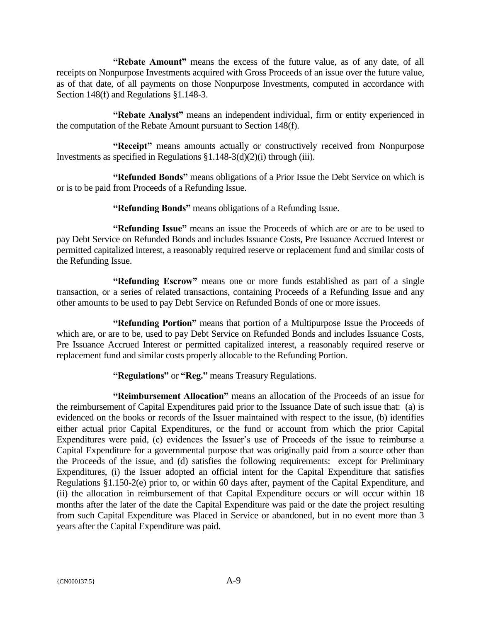**"Rebate Amount"** means the excess of the future value, as of any date, of all receipts on Nonpurpose Investments acquired with Gross Proceeds of an issue over the future value, as of that date, of all payments on those Nonpurpose Investments, computed in accordance with Section 148(f) and Regulations §1.148-3.

**"Rebate Analyst"** means an independent individual, firm or entity experienced in the computation of the Rebate Amount pursuant to Section 148(f).

**"Receipt"** means amounts actually or constructively received from Nonpurpose Investments as specified in Regulations  $\S1.148-3(d)(2)(i)$  through (iii).

**"Refunded Bonds"** means obligations of a Prior Issue the Debt Service on which is or is to be paid from Proceeds of a Refunding Issue.

**"Refunding Bonds"** means obligations of a Refunding Issue.

**"Refunding Issue"** means an issue the Proceeds of which are or are to be used to pay Debt Service on Refunded Bonds and includes Issuance Costs, Pre Issuance Accrued Interest or permitted capitalized interest, a reasonably required reserve or replacement fund and similar costs of the Refunding Issue.

**"Refunding Escrow"** means one or more funds established as part of a single transaction, or a series of related transactions, containing Proceeds of a Refunding Issue and any other amounts to be used to pay Debt Service on Refunded Bonds of one or more issues.

**"Refunding Portion"** means that portion of a Multipurpose Issue the Proceeds of which are, or are to be, used to pay Debt Service on Refunded Bonds and includes Issuance Costs, Pre Issuance Accrued Interest or permitted capitalized interest, a reasonably required reserve or replacement fund and similar costs properly allocable to the Refunding Portion.

**"Regulations"** or **"Reg."** means Treasury Regulations.

**"Reimbursement Allocation"** means an allocation of the Proceeds of an issue for the reimbursement of Capital Expenditures paid prior to the Issuance Date of such issue that: (a) is evidenced on the books or records of the Issuer maintained with respect to the issue, (b) identifies either actual prior Capital Expenditures, or the fund or account from which the prior Capital Expenditures were paid, (c) evidences the Issuer's use of Proceeds of the issue to reimburse a Capital Expenditure for a governmental purpose that was originally paid from a source other than the Proceeds of the issue, and (d) satisfies the following requirements: except for Preliminary Expenditures, (i) the Issuer adopted an official intent for the Capital Expenditure that satisfies Regulations §1.150-2(e) prior to, or within 60 days after, payment of the Capital Expenditure, and (ii) the allocation in reimbursement of that Capital Expenditure occurs or will occur within 18 months after the later of the date the Capital Expenditure was paid or the date the project resulting from such Capital Expenditure was Placed in Service or abandoned, but in no event more than 3 years after the Capital Expenditure was paid.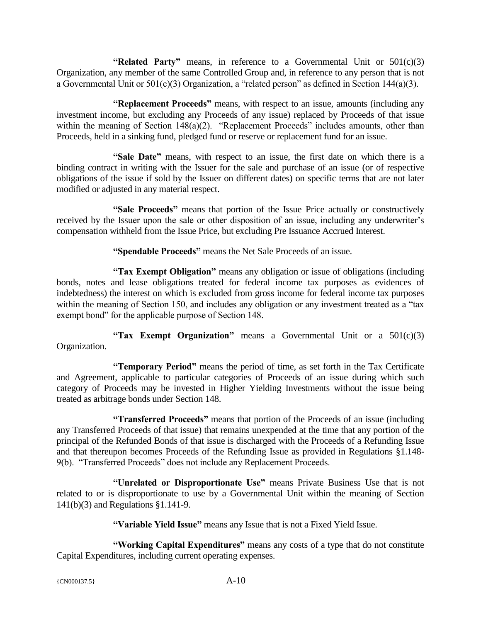**"Related Party"** means, in reference to a Governmental Unit or 501(c)(3) Organization, any member of the same Controlled Group and, in reference to any person that is not a Governmental Unit or 501(c)(3) Organization, a "related person" as defined in Section 144(a)(3).

**"Replacement Proceeds"** means, with respect to an issue, amounts (including any investment income, but excluding any Proceeds of any issue) replaced by Proceeds of that issue within the meaning of Section 148(a)(2). "Replacement Proceeds" includes amounts, other than Proceeds, held in a sinking fund, pledged fund or reserve or replacement fund for an issue.

**"Sale Date"** means, with respect to an issue, the first date on which there is a binding contract in writing with the Issuer for the sale and purchase of an issue (or of respective obligations of the issue if sold by the Issuer on different dates) on specific terms that are not later modified or adjusted in any material respect.

**"Sale Proceeds"** means that portion of the Issue Price actually or constructively received by the Issuer upon the sale or other disposition of an issue, including any underwriter's compensation withheld from the Issue Price, but excluding Pre Issuance Accrued Interest.

**"Spendable Proceeds"** means the Net Sale Proceeds of an issue.

**"Tax Exempt Obligation"** means any obligation or issue of obligations (including bonds, notes and lease obligations treated for federal income tax purposes as evidences of indebtedness) the interest on which is excluded from gross income for federal income tax purposes within the meaning of Section 150, and includes any obligation or any investment treated as a "tax" exempt bond" for the applicable purpose of Section 148.

**"Tax Exempt Organization"** means a Governmental Unit or a 501(c)(3) Organization.

**"Temporary Period"** means the period of time, as set forth in the Tax Certificate and Agreement, applicable to particular categories of Proceeds of an issue during which such category of Proceeds may be invested in Higher Yielding Investments without the issue being treated as arbitrage bonds under Section 148.

**"Transferred Proceeds"** means that portion of the Proceeds of an issue (including any Transferred Proceeds of that issue) that remains unexpended at the time that any portion of the principal of the Refunded Bonds of that issue is discharged with the Proceeds of a Refunding Issue and that thereupon becomes Proceeds of the Refunding Issue as provided in Regulations §1.148- 9(b). "Transferred Proceeds" does not include any Replacement Proceeds.

**"Unrelated or Disproportionate Use"** means Private Business Use that is not related to or is disproportionate to use by a Governmental Unit within the meaning of Section 141(b)(3) and Regulations §1.141-9.

**"Variable Yield Issue"** means any Issue that is not a Fixed Yield Issue.

**"Working Capital Expenditures"** means any costs of a type that do not constitute Capital Expenditures, including current operating expenses.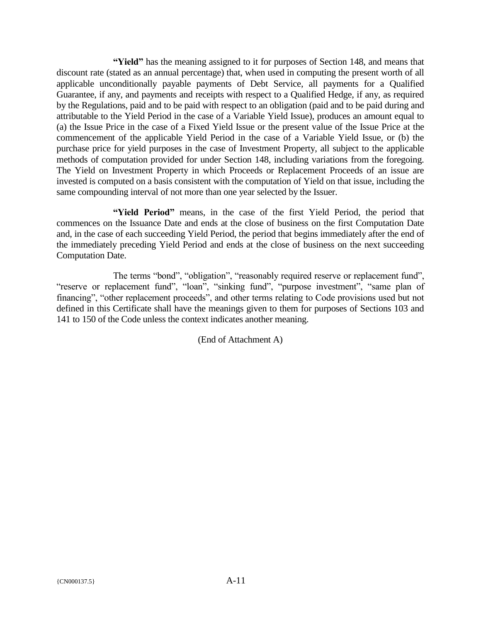**"Yield"** has the meaning assigned to it for purposes of Section 148, and means that discount rate (stated as an annual percentage) that, when used in computing the present worth of all applicable unconditionally payable payments of Debt Service, all payments for a Qualified Guarantee, if any, and payments and receipts with respect to a Qualified Hedge, if any, as required by the Regulations, paid and to be paid with respect to an obligation (paid and to be paid during and attributable to the Yield Period in the case of a Variable Yield Issue), produces an amount equal to (a) the Issue Price in the case of a Fixed Yield Issue or the present value of the Issue Price at the commencement of the applicable Yield Period in the case of a Variable Yield Issue, or (b) the purchase price for yield purposes in the case of Investment Property, all subject to the applicable methods of computation provided for under Section 148, including variations from the foregoing. The Yield on Investment Property in which Proceeds or Replacement Proceeds of an issue are invested is computed on a basis consistent with the computation of Yield on that issue, including the same compounding interval of not more than one year selected by the Issuer.

**"Yield Period"** means, in the case of the first Yield Period, the period that commences on the Issuance Date and ends at the close of business on the first Computation Date and, in the case of each succeeding Yield Period, the period that begins immediately after the end of the immediately preceding Yield Period and ends at the close of business on the next succeeding Computation Date.

The terms "bond", "obligation", "reasonably required reserve or replacement fund", "reserve or replacement fund", "loan", "sinking fund", "purpose investment", "same plan of financing", "other replacement proceeds", and other terms relating to Code provisions used but not defined in this Certificate shall have the meanings given to them for purposes of Sections 103 and 141 to 150 of the Code unless the context indicates another meaning.

(End of Attachment A)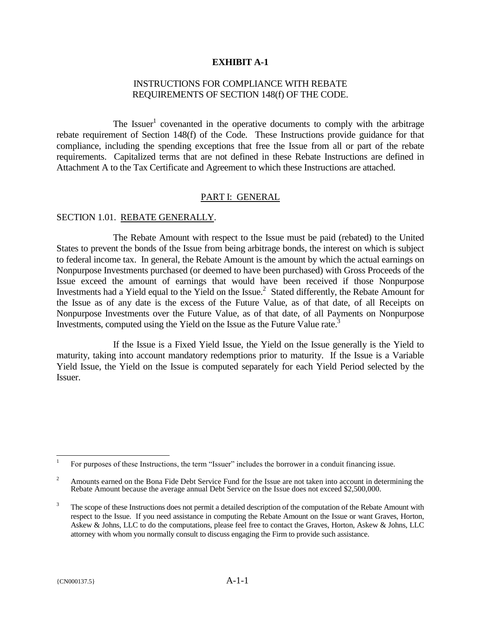### **EXHIBIT A-1**

### INSTRUCTIONS FOR COMPLIANCE WITH REBATE REQUIREMENTS OF SECTION 148(f) OF THE CODE.

The Issuer<sup>1</sup> covenanted in the operative documents to comply with the arbitrage rebate requirement of Section 148(f) of the Code. These Instructions provide guidance for that compliance, including the spending exceptions that free the Issue from all or part of the rebate requirements. Capitalized terms that are not defined in these Rebate Instructions are defined in Attachment A to the Tax Certificate and Agreement to which these Instructions are attached.

### PART I: GENERAL

#### SECTION 1.01. REBATE GENERALLY.

The Rebate Amount with respect to the Issue must be paid (rebated) to the United States to prevent the bonds of the Issue from being arbitrage bonds, the interest on which is subject to federal income tax. In general, the Rebate Amount is the amount by which the actual earnings on Nonpurpose Investments purchased (or deemed to have been purchased) with Gross Proceeds of the Issue exceed the amount of earnings that would have been received if those Nonpurpose Investments had a Yield equal to the Yield on the Issue.<sup>2</sup> Stated differently, the Rebate Amount for the Issue as of any date is the excess of the Future Value, as of that date, of all Receipts on Nonpurpose Investments over the Future Value, as of that date, of all Payments on Nonpurpose Investments, computed using the Yield on the Issue as the Future Value rate.<sup>3</sup>

If the Issue is a Fixed Yield Issue, the Yield on the Issue generally is the Yield to maturity, taking into account mandatory redemptions prior to maturity. If the Issue is a Variable Yield Issue, the Yield on the Issue is computed separately for each Yield Period selected by the Issuer.

 $\overline{a}$ 1 For purposes of these Instructions, the term "Issuer" includes the borrower in a conduit financing issue.

<sup>&</sup>lt;sup>2</sup> Amounts earned on the Bona Fide Debt Service Fund for the Issue are not taken into account in determining the Rebate Amount because the average annual Debt Service on the Issue does not exceed \$2,500,000.

<sup>&</sup>lt;sup>3</sup> The scope of these Instructions does not permit a detailed description of the computation of the Rebate Amount with respect to the Issue. If you need assistance in computing the Rebate Amount on the Issue or want Graves, Horton, Askew & Johns, LLC to do the computations, please feel free to contact the Graves, Horton, Askew & Johns, LLC attorney with whom you normally consult to discuss engaging the Firm to provide such assistance.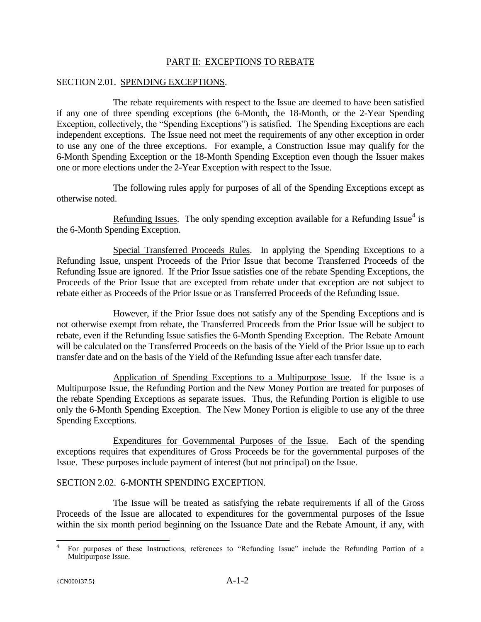### PART II: EXCEPTIONS TO REBATE

### SECTION 2.01. SPENDING EXCEPTIONS.

The rebate requirements with respect to the Issue are deemed to have been satisfied if any one of three spending exceptions (the 6-Month, the 18-Month, or the 2-Year Spending Exception, collectively, the "Spending Exceptions") is satisfied. The Spending Exceptions are each independent exceptions. The Issue need not meet the requirements of any other exception in order to use any one of the three exceptions. For example, a Construction Issue may qualify for the 6-Month Spending Exception or the 18-Month Spending Exception even though the Issuer makes one or more elections under the 2-Year Exception with respect to the Issue.

The following rules apply for purposes of all of the Spending Exceptions except as otherwise noted.

Refunding Issues. The only spending exception available for a Refunding Issue<sup>4</sup> is the 6-Month Spending Exception.

Special Transferred Proceeds Rules. In applying the Spending Exceptions to a Refunding Issue, unspent Proceeds of the Prior Issue that become Transferred Proceeds of the Refunding Issue are ignored. If the Prior Issue satisfies one of the rebate Spending Exceptions, the Proceeds of the Prior Issue that are excepted from rebate under that exception are not subject to rebate either as Proceeds of the Prior Issue or as Transferred Proceeds of the Refunding Issue.

However, if the Prior Issue does not satisfy any of the Spending Exceptions and is not otherwise exempt from rebate, the Transferred Proceeds from the Prior Issue will be subject to rebate, even if the Refunding Issue satisfies the 6-Month Spending Exception. The Rebate Amount will be calculated on the Transferred Proceeds on the basis of the Yield of the Prior Issue up to each transfer date and on the basis of the Yield of the Refunding Issue after each transfer date.

Application of Spending Exceptions to a Multipurpose Issue. If the Issue is a Multipurpose Issue, the Refunding Portion and the New Money Portion are treated for purposes of the rebate Spending Exceptions as separate issues. Thus, the Refunding Portion is eligible to use only the 6-Month Spending Exception. The New Money Portion is eligible to use any of the three Spending Exceptions.

Expenditures for Governmental Purposes of the Issue. Each of the spending exceptions requires that expenditures of Gross Proceeds be for the governmental purposes of the Issue. These purposes include payment of interest (but not principal) on the Issue.

### SECTION 2.02. 6-MONTH SPENDING EXCEPTION.

The Issue will be treated as satisfying the rebate requirements if all of the Gross Proceeds of the Issue are allocated to expenditures for the governmental purposes of the Issue within the six month period beginning on the Issuance Date and the Rebate Amount, if any, with

 $\overline{1}$ 4 For purposes of these Instructions, references to "Refunding Issue" include the Refunding Portion of a Multipurpose Issue.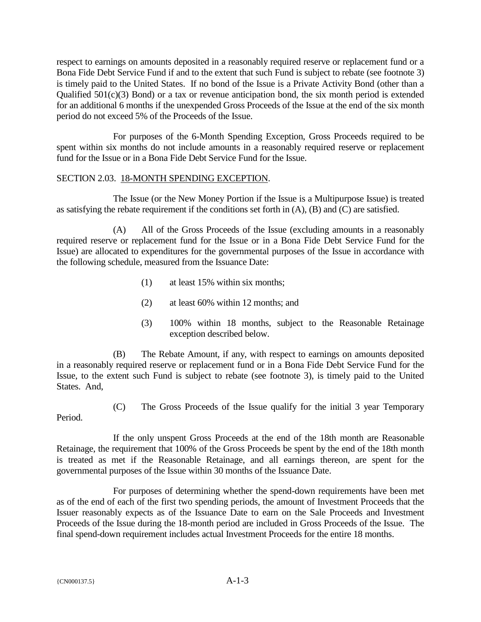respect to earnings on amounts deposited in a reasonably required reserve or replacement fund or a Bona Fide Debt Service Fund if and to the extent that such Fund is subject to rebate (see footnote 3) is timely paid to the United States. If no bond of the Issue is a Private Activity Bond (other than a Qualified 501(c)(3) Bond) or a tax or revenue anticipation bond, the six month period is extended for an additional 6 months if the unexpended Gross Proceeds of the Issue at the end of the six month period do not exceed 5% of the Proceeds of the Issue.

For purposes of the 6-Month Spending Exception, Gross Proceeds required to be spent within six months do not include amounts in a reasonably required reserve or replacement fund for the Issue or in a Bona Fide Debt Service Fund for the Issue.

### SECTION 2.03. 18-MONTH SPENDING EXCEPTION.

The Issue (or the New Money Portion if the Issue is a Multipurpose Issue) is treated as satisfying the rebate requirement if the conditions set forth in (A), (B) and (C) are satisfied.

(A) All of the Gross Proceeds of the Issue (excluding amounts in a reasonably required reserve or replacement fund for the Issue or in a Bona Fide Debt Service Fund for the Issue) are allocated to expenditures for the governmental purposes of the Issue in accordance with the following schedule, measured from the Issuance Date:

- (1) at least 15% within six months;
- (2) at least 60% within 12 months; and
- (3) 100% within 18 months, subject to the Reasonable Retainage exception described below.

(B) The Rebate Amount, if any, with respect to earnings on amounts deposited in a reasonably required reserve or replacement fund or in a Bona Fide Debt Service Fund for the Issue, to the extent such Fund is subject to rebate (see footnote 3), is timely paid to the United States. And,

(C) The Gross Proceeds of the Issue qualify for the initial 3 year Temporary

Period.

If the only unspent Gross Proceeds at the end of the 18th month are Reasonable Retainage, the requirement that 100% of the Gross Proceeds be spent by the end of the 18th month is treated as met if the Reasonable Retainage, and all earnings thereon, are spent for the governmental purposes of the Issue within 30 months of the Issuance Date.

For purposes of determining whether the spend-down requirements have been met as of the end of each of the first two spending periods, the amount of Investment Proceeds that the Issuer reasonably expects as of the Issuance Date to earn on the Sale Proceeds and Investment Proceeds of the Issue during the 18-month period are included in Gross Proceeds of the Issue. The final spend-down requirement includes actual Investment Proceeds for the entire 18 months.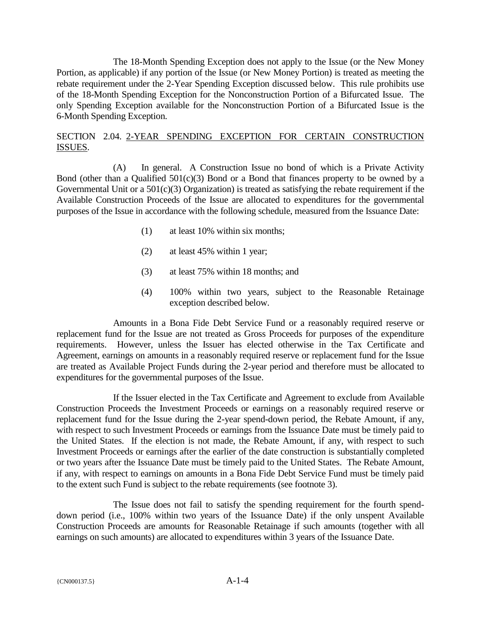The 18-Month Spending Exception does not apply to the Issue (or the New Money Portion, as applicable) if any portion of the Issue (or New Money Portion) is treated as meeting the rebate requirement under the 2-Year Spending Exception discussed below. This rule prohibits use of the 18-Month Spending Exception for the Nonconstruction Portion of a Bifurcated Issue. The only Spending Exception available for the Nonconstruction Portion of a Bifurcated Issue is the 6-Month Spending Exception.

# SECTION 2.04. 2-YEAR SPENDING EXCEPTION FOR CERTAIN CONSTRUCTION ISSUES.

(A) In general. A Construction Issue no bond of which is a Private Activity Bond (other than a Qualified  $501(c)(3)$  Bond or a Bond that finances property to be owned by a Governmental Unit or a  $501(c)(3)$  Organization) is treated as satisfying the rebate requirement if the Available Construction Proceeds of the Issue are allocated to expenditures for the governmental purposes of the Issue in accordance with the following schedule, measured from the Issuance Date:

- (1) at least 10% within six months;
- (2) at least 45% within 1 year;
- (3) at least 75% within 18 months; and
- (4) 100% within two years, subject to the Reasonable Retainage exception described below.

Amounts in a Bona Fide Debt Service Fund or a reasonably required reserve or replacement fund for the Issue are not treated as Gross Proceeds for purposes of the expenditure requirements. However, unless the Issuer has elected otherwise in the Tax Certificate and Agreement, earnings on amounts in a reasonably required reserve or replacement fund for the Issue are treated as Available Project Funds during the 2-year period and therefore must be allocated to expenditures for the governmental purposes of the Issue.

If the Issuer elected in the Tax Certificate and Agreement to exclude from Available Construction Proceeds the Investment Proceeds or earnings on a reasonably required reserve or replacement fund for the Issue during the 2-year spend-down period, the Rebate Amount, if any, with respect to such Investment Proceeds or earnings from the Issuance Date must be timely paid to the United States. If the election is not made, the Rebate Amount, if any, with respect to such Investment Proceeds or earnings after the earlier of the date construction is substantially completed or two years after the Issuance Date must be timely paid to the United States. The Rebate Amount, if any, with respect to earnings on amounts in a Bona Fide Debt Service Fund must be timely paid to the extent such Fund is subject to the rebate requirements (see footnote 3).

The Issue does not fail to satisfy the spending requirement for the fourth spenddown period (i.e., 100% within two years of the Issuance Date) if the only unspent Available Construction Proceeds are amounts for Reasonable Retainage if such amounts (together with all earnings on such amounts) are allocated to expenditures within 3 years of the Issuance Date.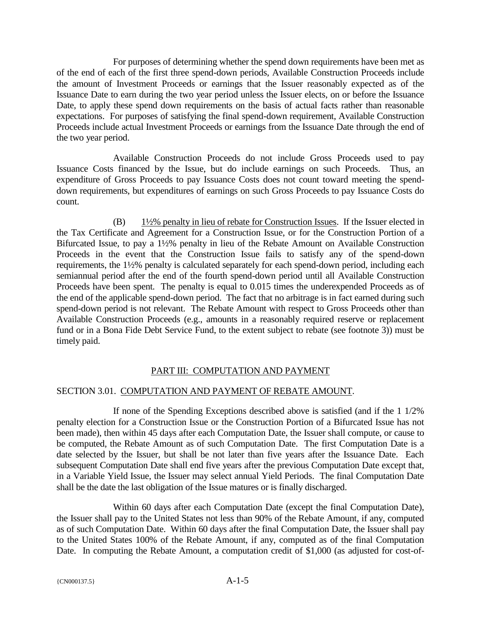For purposes of determining whether the spend down requirements have been met as of the end of each of the first three spend-down periods, Available Construction Proceeds include the amount of Investment Proceeds or earnings that the Issuer reasonably expected as of the Issuance Date to earn during the two year period unless the Issuer elects, on or before the Issuance Date, to apply these spend down requirements on the basis of actual facts rather than reasonable expectations. For purposes of satisfying the final spend-down requirement, Available Construction Proceeds include actual Investment Proceeds or earnings from the Issuance Date through the end of the two year period.

Available Construction Proceeds do not include Gross Proceeds used to pay Issuance Costs financed by the Issue, but do include earnings on such Proceeds. Thus, an expenditure of Gross Proceeds to pay Issuance Costs does not count toward meeting the spenddown requirements, but expenditures of earnings on such Gross Proceeds to pay Issuance Costs do count.

(B) 1½% penalty in lieu of rebate for Construction Issues. If the Issuer elected in the Tax Certificate and Agreement for a Construction Issue, or for the Construction Portion of a Bifurcated Issue, to pay a 1½% penalty in lieu of the Rebate Amount on Available Construction Proceeds in the event that the Construction Issue fails to satisfy any of the spend-down requirements, the 1½% penalty is calculated separately for each spend-down period, including each semiannual period after the end of the fourth spend-down period until all Available Construction Proceeds have been spent. The penalty is equal to 0.015 times the underexpended Proceeds as of the end of the applicable spend-down period. The fact that no arbitrage is in fact earned during such spend-down period is not relevant. The Rebate Amount with respect to Gross Proceeds other than Available Construction Proceeds (e.g., amounts in a reasonably required reserve or replacement fund or in a Bona Fide Debt Service Fund, to the extent subject to rebate (see footnote 3)) must be timely paid.

# PART III: COMPUTATION AND PAYMENT

# SECTION 3.01. COMPUTATION AND PAYMENT OF REBATE AMOUNT.

If none of the Spending Exceptions described above is satisfied (and if the 1 1/2% penalty election for a Construction Issue or the Construction Portion of a Bifurcated Issue has not been made), then within 45 days after each Computation Date, the Issuer shall compute, or cause to be computed, the Rebate Amount as of such Computation Date. The first Computation Date is a date selected by the Issuer, but shall be not later than five years after the Issuance Date. Each subsequent Computation Date shall end five years after the previous Computation Date except that, in a Variable Yield Issue, the Issuer may select annual Yield Periods. The final Computation Date shall be the date the last obligation of the Issue matures or is finally discharged.

Within 60 days after each Computation Date (except the final Computation Date), the Issuer shall pay to the United States not less than 90% of the Rebate Amount, if any, computed as of such Computation Date. Within 60 days after the final Computation Date, the Issuer shall pay to the United States 100% of the Rebate Amount, if any, computed as of the final Computation Date. In computing the Rebate Amount, a computation credit of \$1,000 (as adjusted for cost-of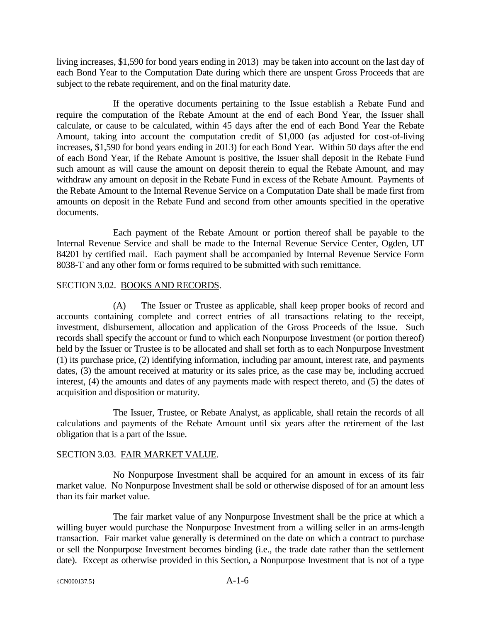living increases, \$1,590 for bond years ending in 2013) may be taken into account on the last day of each Bond Year to the Computation Date during which there are unspent Gross Proceeds that are subject to the rebate requirement, and on the final maturity date.

If the operative documents pertaining to the Issue establish a Rebate Fund and require the computation of the Rebate Amount at the end of each Bond Year, the Issuer shall calculate, or cause to be calculated, within 45 days after the end of each Bond Year the Rebate Amount, taking into account the computation credit of \$1,000 (as adjusted for cost-of-living increases, \$1,590 for bond years ending in 2013) for each Bond Year. Within 50 days after the end of each Bond Year, if the Rebate Amount is positive, the Issuer shall deposit in the Rebate Fund such amount as will cause the amount on deposit therein to equal the Rebate Amount, and may withdraw any amount on deposit in the Rebate Fund in excess of the Rebate Amount. Payments of the Rebate Amount to the Internal Revenue Service on a Computation Date shall be made first from amounts on deposit in the Rebate Fund and second from other amounts specified in the operative documents.

Each payment of the Rebate Amount or portion thereof shall be payable to the Internal Revenue Service and shall be made to the Internal Revenue Service Center, Ogden, UT 84201 by certified mail. Each payment shall be accompanied by Internal Revenue Service Form 8038-T and any other form or forms required to be submitted with such remittance.

### SECTION 3.02. BOOKS AND RECORDS.

(A) The Issuer or Trustee as applicable, shall keep proper books of record and accounts containing complete and correct entries of all transactions relating to the receipt, investment, disbursement, allocation and application of the Gross Proceeds of the Issue. Such records shall specify the account or fund to which each Nonpurpose Investment (or portion thereof) held by the Issuer or Trustee is to be allocated and shall set forth as to each Nonpurpose Investment (1) its purchase price, (2) identifying information, including par amount, interest rate, and payments dates, (3) the amount received at maturity or its sales price, as the case may be, including accrued interest, (4) the amounts and dates of any payments made with respect thereto, and (5) the dates of acquisition and disposition or maturity.

The Issuer, Trustee, or Rebate Analyst, as applicable, shall retain the records of all calculations and payments of the Rebate Amount until six years after the retirement of the last obligation that is a part of the Issue.

# SECTION 3.03. FAIR MARKET VALUE.

No Nonpurpose Investment shall be acquired for an amount in excess of its fair market value. No Nonpurpose Investment shall be sold or otherwise disposed of for an amount less than its fair market value.

The fair market value of any Nonpurpose Investment shall be the price at which a willing buyer would purchase the Nonpurpose Investment from a willing seller in an arms-length transaction. Fair market value generally is determined on the date on which a contract to purchase or sell the Nonpurpose Investment becomes binding (i.e., the trade date rather than the settlement date). Except as otherwise provided in this Section, a Nonpurpose Investment that is not of a type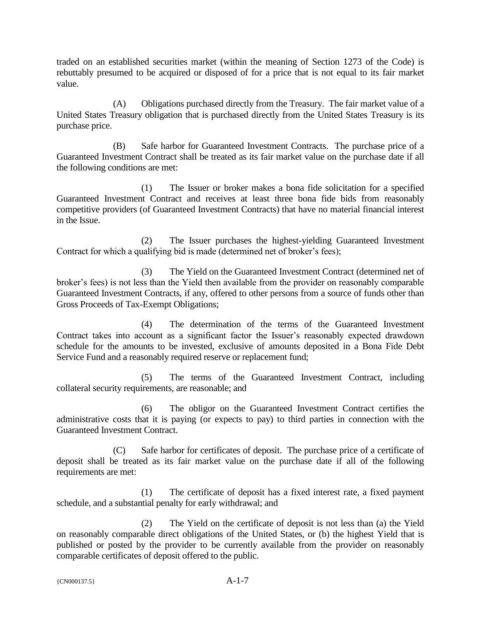traded on an established securities market (within the meaning of Section 1273 of the Code) is rebuttably presumed to be acquired or disposed of for a price that is not equal to its fair market value.

(A) Obligations purchased directly from the Treasury. The fair market value of a United States Treasury obligation that is purchased directly from the United States Treasury is its purchase price.

(B) Safe harbor for Guaranteed Investment Contracts. The purchase price of a Guaranteed Investment Contract shall be treated as its fair market value on the purchase date if all the following conditions are met:

(1) The Issuer or broker makes a bona fide solicitation for a specified Guaranteed Investment Contract and receives at least three bona fide bids from reasonably competitive providers (of Guaranteed Investment Contracts) that have no material financial interest in the Issue.

(2) The Issuer purchases the highest-yielding Guaranteed Investment Contract for which a qualifying bid is made (determined net of broker's fees);

(3) The Yield on the Guaranteed Investment Contract (determined net of broker's fees) is not less than the Yield then available from the provider on reasonably comparable Guaranteed Investment Contracts, if any, offered to other persons from a source of funds other than Gross Proceeds of Tax-Exempt Obligations;

(4) The determination of the terms of the Guaranteed Investment Contract takes into account as a significant factor the Issuer's reasonably expected drawdown schedule for the amounts to be invested, exclusive of amounts deposited in a Bona Fide Debt Service Fund and a reasonably required reserve or replacement fund;

(5) The terms of the Guaranteed Investment Contract, including collateral security requirements, are reasonable; and

(6) The obligor on the Guaranteed Investment Contract certifies the administrative costs that it is paying (or expects to pay) to third parties in connection with the Guaranteed Investment Contract.

(C) Safe harbor for certificates of deposit. The purchase price of a certificate of deposit shall be treated as its fair market value on the purchase date if all of the following requirements are met:

(1) The certificate of deposit has a fixed interest rate, a fixed payment schedule, and a substantial penalty for early withdrawal; and

(2) The Yield on the certificate of deposit is not less than (a) the Yield on reasonably comparable direct obligations of the United States, or (b) the highest Yield that is published or posted by the provider to be currently available from the provider on reasonably comparable certificates of deposit offered to the public.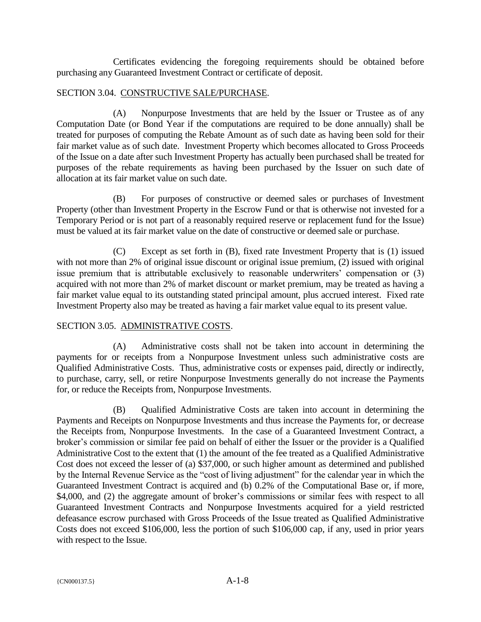Certificates evidencing the foregoing requirements should be obtained before purchasing any Guaranteed Investment Contract or certificate of deposit.

### SECTION 3.04. CONSTRUCTIVE SALE/PURCHASE.

(A) Nonpurpose Investments that are held by the Issuer or Trustee as of any Computation Date (or Bond Year if the computations are required to be done annually) shall be treated for purposes of computing the Rebate Amount as of such date as having been sold for their fair market value as of such date. Investment Property which becomes allocated to Gross Proceeds of the Issue on a date after such Investment Property has actually been purchased shall be treated for purposes of the rebate requirements as having been purchased by the Issuer on such date of allocation at its fair market value on such date.

(B) For purposes of constructive or deemed sales or purchases of Investment Property (other than Investment Property in the Escrow Fund or that is otherwise not invested for a Temporary Period or is not part of a reasonably required reserve or replacement fund for the Issue) must be valued at its fair market value on the date of constructive or deemed sale or purchase.

(C) Except as set forth in (B), fixed rate Investment Property that is (1) issued with not more than 2% of original issue discount or original issue premium, (2) issued with original issue premium that is attributable exclusively to reasonable underwriters' compensation or (3) acquired with not more than 2% of market discount or market premium, may be treated as having a fair market value equal to its outstanding stated principal amount, plus accrued interest. Fixed rate Investment Property also may be treated as having a fair market value equal to its present value.

# SECTION 3.05. ADMINISTRATIVE COSTS.

(A) Administrative costs shall not be taken into account in determining the payments for or receipts from a Nonpurpose Investment unless such administrative costs are Qualified Administrative Costs. Thus, administrative costs or expenses paid, directly or indirectly, to purchase, carry, sell, or retire Nonpurpose Investments generally do not increase the Payments for, or reduce the Receipts from, Nonpurpose Investments.

(B) Qualified Administrative Costs are taken into account in determining the Payments and Receipts on Nonpurpose Investments and thus increase the Payments for, or decrease the Receipts from, Nonpurpose Investments. In the case of a Guaranteed Investment Contract, a broker's commission or similar fee paid on behalf of either the Issuer or the provider is a Qualified Administrative Cost to the extent that (1) the amount of the fee treated as a Qualified Administrative Cost does not exceed the lesser of (a) \$37,000, or such higher amount as determined and published by the Internal Revenue Service as the "cost of living adjustment" for the calendar year in which the Guaranteed Investment Contract is acquired and (b) 0.2% of the Computational Base or, if more, \$4,000, and (2) the aggregate amount of broker's commissions or similar fees with respect to all Guaranteed Investment Contracts and Nonpurpose Investments acquired for a yield restricted defeasance escrow purchased with Gross Proceeds of the Issue treated as Qualified Administrative Costs does not exceed \$106,000, less the portion of such \$106,000 cap, if any, used in prior years with respect to the Issue.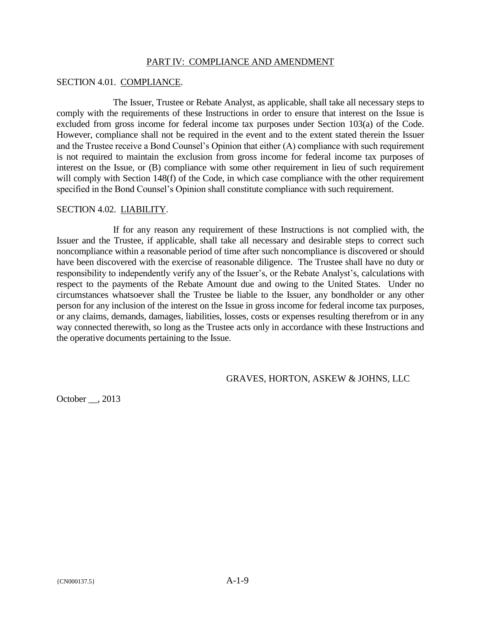### PART IV: COMPLIANCE AND AMENDMENT

### SECTION 4.01. COMPLIANCE.

The Issuer, Trustee or Rebate Analyst, as applicable, shall take all necessary steps to comply with the requirements of these Instructions in order to ensure that interest on the Issue is excluded from gross income for federal income tax purposes under Section 103(a) of the Code. However, compliance shall not be required in the event and to the extent stated therein the Issuer and the Trustee receive a Bond Counsel's Opinion that either (A) compliance with such requirement is not required to maintain the exclusion from gross income for federal income tax purposes of interest on the Issue, or (B) compliance with some other requirement in lieu of such requirement will comply with Section 148(f) of the Code, in which case compliance with the other requirement specified in the Bond Counsel's Opinion shall constitute compliance with such requirement.

### SECTION 4.02. LIABILITY.

If for any reason any requirement of these Instructions is not complied with, the Issuer and the Trustee, if applicable, shall take all necessary and desirable steps to correct such noncompliance within a reasonable period of time after such noncompliance is discovered or should have been discovered with the exercise of reasonable diligence. The Trustee shall have no duty or responsibility to independently verify any of the Issuer's, or the Rebate Analyst's, calculations with respect to the payments of the Rebate Amount due and owing to the United States. Under no circumstances whatsoever shall the Trustee be liable to the Issuer, any bondholder or any other person for any inclusion of the interest on the Issue in gross income for federal income tax purposes, or any claims, demands, damages, liabilities, losses, costs or expenses resulting therefrom or in any way connected therewith, so long as the Trustee acts only in accordance with these Instructions and the operative documents pertaining to the Issue.

GRAVES, HORTON, ASKEW & JOHNS, LLC

October . 2013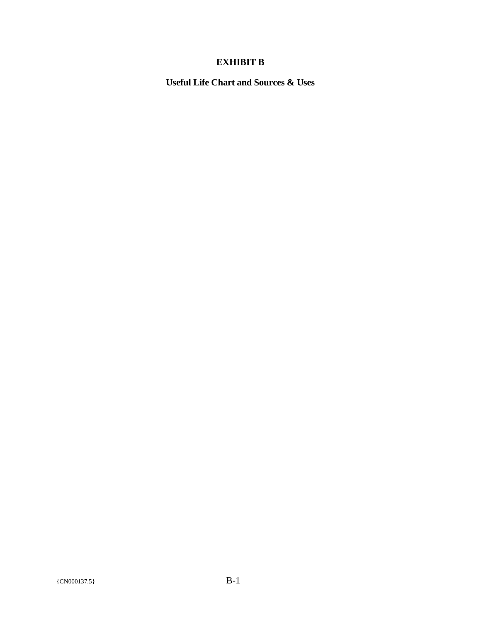# **EXHIBIT B**

**Useful Life Chart and Sources & Uses**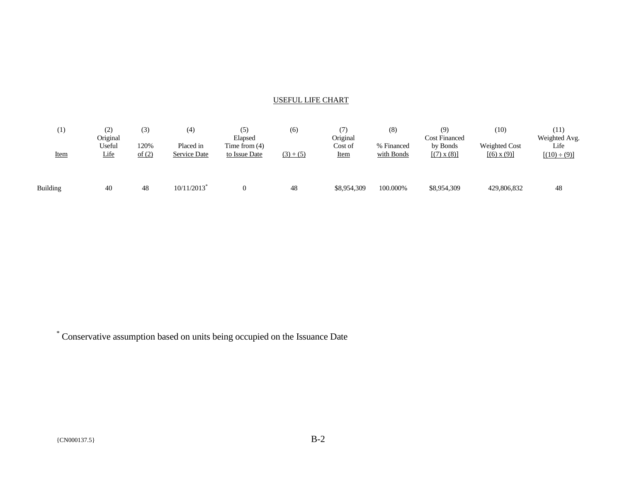### USEFUL LIFE CHART

| $\left(1\right)$<br><b>Item</b> | (2)<br>Original<br>Useful<br>Life | (3)<br>120%<br>of (2) | $\left( 4\right)$<br>Placed in<br>Service Date | (5)<br>Elapsed<br>Time from $(4)$<br>to Issue Date | (6)<br>$(3) + (5)$ | 7)<br>Original<br>Cost of<br><u>Item</u> | (8)<br>% Financed<br>with Bonds | (9)<br><b>Cost Financed</b><br>by Bonds<br>$[(7) \times (8)]$ | (10)<br>Weighted Cost<br>[(6) x (9)] | (11)<br>Weighted Avg.<br>Life<br>$[(10) \div (9)]$ |
|---------------------------------|-----------------------------------|-----------------------|------------------------------------------------|----------------------------------------------------|--------------------|------------------------------------------|---------------------------------|---------------------------------------------------------------|--------------------------------------|----------------------------------------------------|
| Building                        | 40                                | 48                    | 10/11/2013                                     |                                                    | 48                 | \$8,954,309                              | 100.000%                        | \$8,954,309                                                   | 429,806,832                          | 48                                                 |

\* Conservative assumption based on units being occupied on the Issuance Date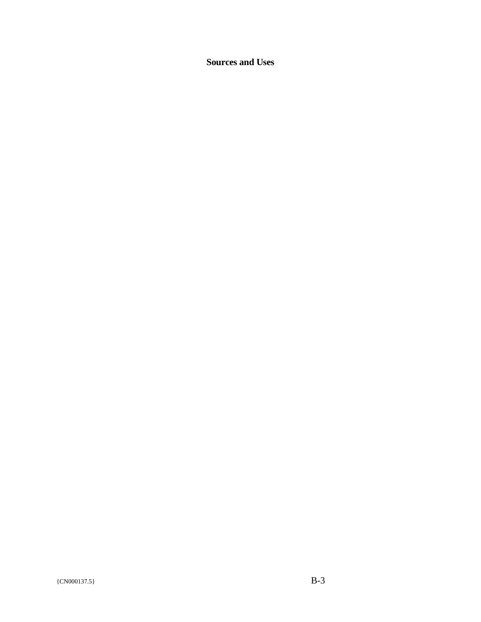**Sources and Uses**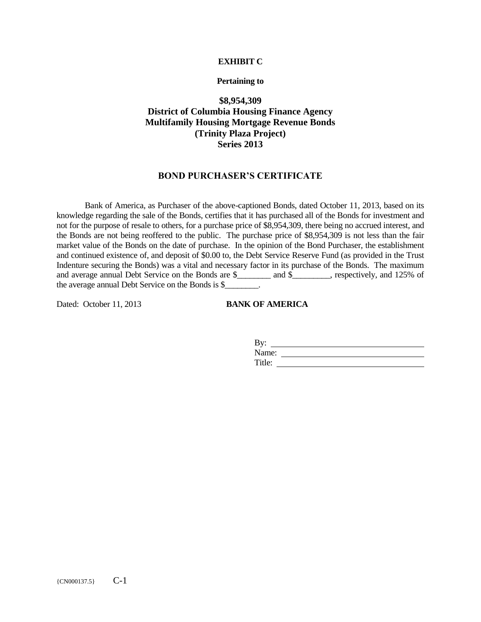#### **EXHIBIT C**

#### **Pertaining to**

### **\$8,954,309 District of Columbia Housing Finance Agency Multifamily Housing Mortgage Revenue Bonds (Trinity Plaza Project) Series 2013**

#### **BOND PURCHASER'S CERTIFICATE**

Bank of America, as Purchaser of the above-captioned Bonds, dated October 11, 2013, based on its knowledge regarding the sale of the Bonds, certifies that it has purchased all of the Bonds for investment and not for the purpose of resale to others, for a purchase price of \$8,954,309, there being no accrued interest, and the Bonds are not being reoffered to the public. The purchase price of \$8,954,309 is not less than the fair market value of the Bonds on the date of purchase. In the opinion of the Bond Purchaser, the establishment and continued existence of, and deposit of \$0.00 to, the Debt Service Reserve Fund (as provided in the Trust Indenture securing the Bonds) was a vital and necessary factor in its purchase of the Bonds. The maximum and average annual Debt Service on the Bonds are \$\_\_\_\_\_\_\_\_\_ and \$\_\_\_\_\_\_\_\_, respectively, and 125% of the average annual Debt Service on the Bonds is \$\_\_\_\_\_\_\_\_.

Dated: October 11, 2013<br>**BANK OF AMERICA** 

| By:    |  |
|--------|--|
| Name:  |  |
| Title: |  |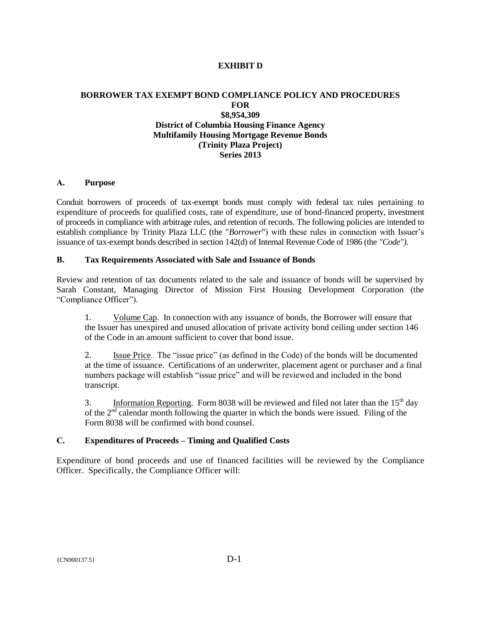### **EXHIBIT D**

### **BORROWER TAX EXEMPT BOND COMPLIANCE POLICY AND PROCEDURES FOR \$8,954,309 District of Columbia Housing Finance Agency Multifamily Housing Mortgage Revenue Bonds (Trinity Plaza Project) Series 2013**

#### **A. Purpose**

Conduit borrowers of proceeds of tax-exempt bonds must comply with federal tax rules pertaining to expenditure of proceeds for qualified costs, rate of expenditure, use of bond-financed property, investment of proceeds in compliance with arbitrage rules, and retention of records. The following policies are intended to establish compliance by Trinity Plaza LLC (the "*Borrower*") with these rules in connection with Issuer's issuance of tax-exempt bonds described in section 142(d) of Internal Revenue Code of 1986 (the *"Code").*

#### **B. Tax Requirements Associated with Sale and Issuance of Bonds**

Review and retention of tax documents related to the sale and issuance of bonds will be supervised by Sarah Constant, Managing Director of Mission First Housing Development Corporation (the "Compliance Officer").

1. Volume Cap. In connection with any issuance of bonds, the Borrower will ensure that the Issuer has unexpired and unused allocation of private activity bond ceiling under section 146 of the Code in an amount sufficient to cover that bond issue.

2. Issue Price. The "issue price" (as defined in the Code) of the bonds will be documented at the time of issuance. Certifications of an underwriter, placement agent or purchaser and a final numbers package will establish "issue price" and will be reviewed and included in the bond transcript.

3. Information Reporting. Form 8038 will be reviewed and filed not later than the  $15<sup>th</sup>$  day of the  $2<sup>nd</sup>$  calendar month following the quarter in which the bonds were issued. Filing of the Form 8038 will be confirmed with bond counsel.

#### **C. Expenditures of Proceeds – Timing and Qualified Costs**

Expenditure of bond proceeds and use of financed facilities will be reviewed by the Compliance Officer. Specifically, the Compliance Officer will: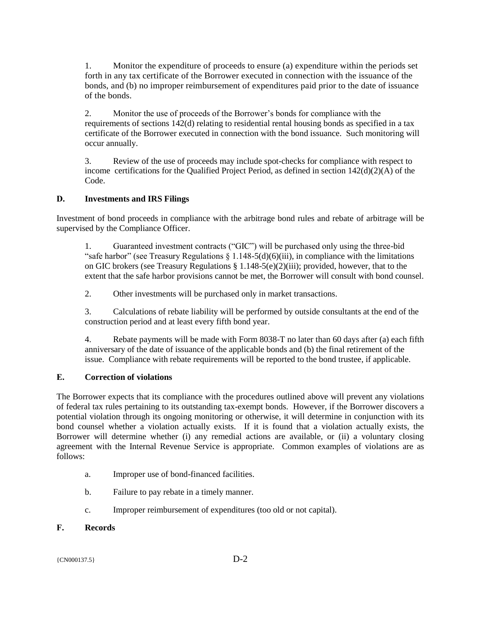1. Monitor the expenditure of proceeds to ensure (a) expenditure within the periods set forth in any tax certificate of the Borrower executed in connection with the issuance of the bonds, and (b) no improper reimbursement of expenditures paid prior to the date of issuance of the bonds.

2. Monitor the use of proceeds of the Borrower's bonds for compliance with the requirements of sections 142(d) relating to residential rental housing bonds as specified in a tax certificate of the Borrower executed in connection with the bond issuance. Such monitoring will occur annually.

3. Review of the use of proceeds may include spot-checks for compliance with respect to income certifications for the Qualified Project Period, as defined in section 142(d)(2)(A) of the Code.

### **D. Investments and IRS Filings**

Investment of bond proceeds in compliance with the arbitrage bond rules and rebate of arbitrage will be supervised by the Compliance Officer.

1. Guaranteed investment contracts ("GIC") will be purchased only using the three-bid "safe harbor" (see Treasury Regulations  $\S 1.148-5(d)(6)(iii)$ , in compliance with the limitations on GIC brokers (see Treasury Regulations § 1.148-5(e)(2)(iii); provided, however, that to the extent that the safe harbor provisions cannot be met, the Borrower will consult with bond counsel.

2. Other investments will be purchased only in market transactions.

3. Calculations of rebate liability will be performed by outside consultants at the end of the construction period and at least every fifth bond year.

4. Rebate payments will be made with Form 8038-T no later than 60 days after (a) each fifth anniversary of the date of issuance of the applicable bonds and (b) the final retirement of the issue. Compliance with rebate requirements will be reported to the bond trustee, if applicable.

### **E. Correction of violations**

The Borrower expects that its compliance with the procedures outlined above will prevent any violations of federal tax rules pertaining to its outstanding tax-exempt bonds. However, if the Borrower discovers a potential violation through its ongoing monitoring or otherwise, it will determine in conjunction with its bond counsel whether a violation actually exists. If it is found that a violation actually exists, the Borrower will determine whether (i) any remedial actions are available, or (ii) a voluntary closing agreement with the Internal Revenue Service is appropriate. Common examples of violations are as follows:

- a. Improper use of bond-financed facilities.
- b. Failure to pay rebate in a timely manner.
- c. Improper reimbursement of expenditures (too old or not capital).

### **F. Records**